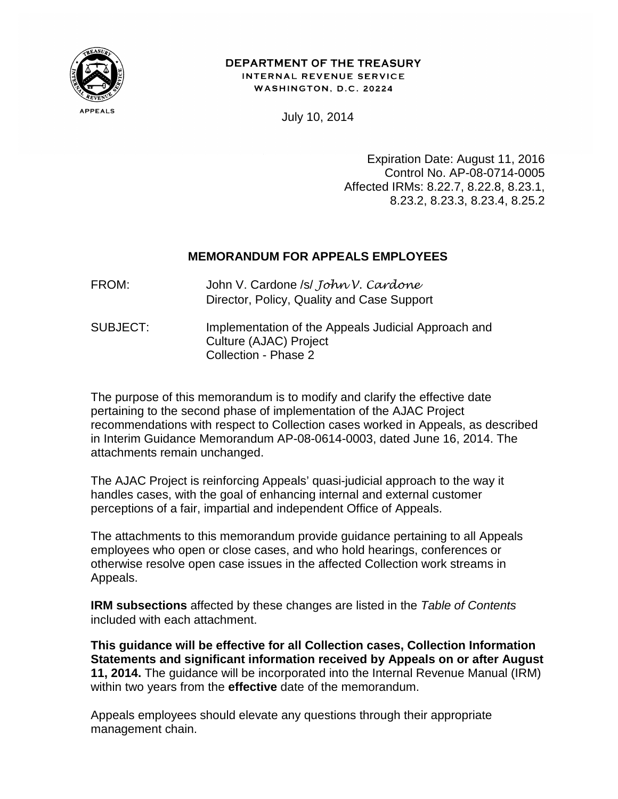

#### DEPARTMENT OF THE TREASURY INTERNAL REVENUE SERVICE WASHINGTON, D.C. 20224

July 10, 2014

Expiration Date: August 11, 2016 Control No. AP-08-0714-0005 Affected IRMs: 8.22.7, 8.22.8, 8.23.1, 8.23.2, 8.23.3, 8.23.4, 8.25.2

## **MEMORANDUM FOR APPEALS EMPLOYEES**

| FROM:    | John V. Cardone /s/ John V. Cardone<br>Director, Policy, Quality and Case Support |  |
|----------|-----------------------------------------------------------------------------------|--|
| SUBJECT: | Implementation of the Appeals Judicial Approach and<br>O(14)                      |  |

 Culture (AJAC) Project Collection - Phase 2

The purpose of this memorandum is to modify and clarify the effective date pertaining to the second phase of implementation of the AJAC Project recommendations with respect to Collection cases worked in Appeals, as described in Interim Guidance Memorandum AP-08-0614-0003, dated June 16, 2014. The attachments remain unchanged.

The AJAC Project is reinforcing Appeals' quasi-judicial approach to the way it handles cases, with the goal of enhancing internal and external customer perceptions of a fair, impartial and independent Office of Appeals.

The attachments to this memorandum provide guidance pertaining to all Appeals employees who open or close cases, and who hold hearings, conferences or otherwise resolve open case issues in the affected Collection work streams in Appeals.

**IRM subsections** affected by these changes are listed in the *Table of Contents* included with each attachment.

**This guidance will be effective for all Collection cases, Collection Information Statements and significant information received by Appeals on or after August 11, 2014.** The guidance will be incorporated into the Internal Revenue Manual (IRM) within two years from the **effective** date of the memorandum.

Appeals employees should elevate any questions through their appropriate management chain.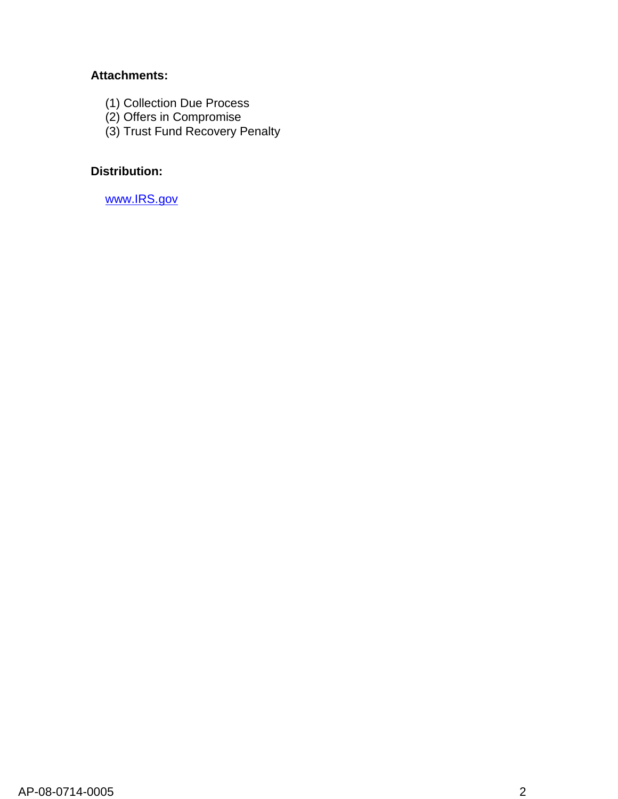## **Attachments:**

- (1) Collection Due Process
- (2) Offers in Compromise
- (3) Trust Fund Recovery Penalty

# **Distribution:**

[www.IRS.gov](https://organization.ds.irsnet.gov/sites/SBU%20Data/Outlook%20Data/www.IRS.gov)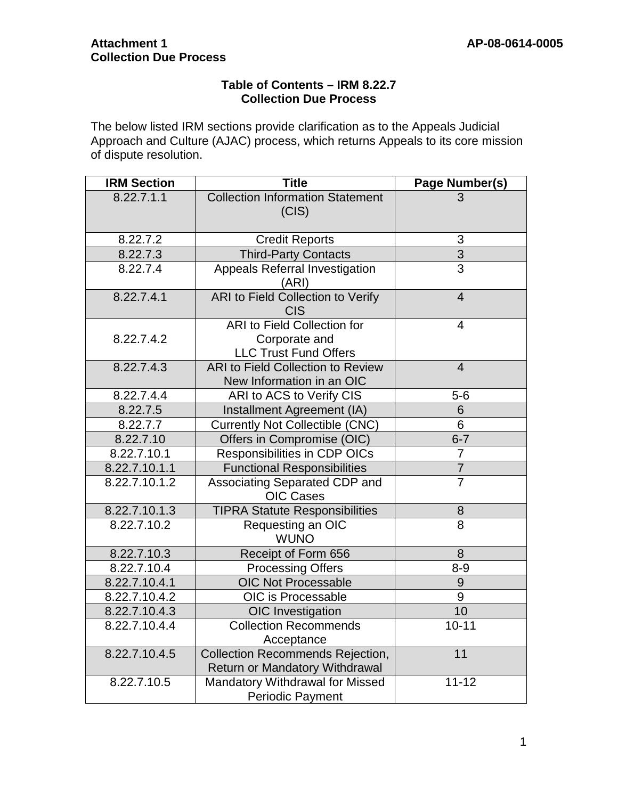## **Table of Contents – IRM 8.22.7 Collection Due Process**

The below listed IRM sections provide clarification as to the Appeals Judicial Approach and Culture (AJAC) process, which returns Appeals to its core mission of dispute resolution.

| <b>IRM Section</b> | <b>Title</b><br>Page Number(s)                                                      |                |  |
|--------------------|-------------------------------------------------------------------------------------|----------------|--|
| 8.22.7.1.1         | <b>Collection Information Statement</b><br>(CIS)                                    |                |  |
| 8.22.7.2           | <b>Credit Reports</b>                                                               | 3              |  |
| 8.22.7.3           | <b>Third-Party Contacts</b>                                                         | $\frac{3}{3}$  |  |
| 8.22.7.4           | Appeals Referral Investigation<br>(ARI)                                             |                |  |
| 8.22.7.4.1         | ARI to Field Collection to Verify<br><b>CIS</b>                                     | $\overline{4}$ |  |
| 8.22.7.4.2         | <b>ARI</b> to Field Collection for<br>Corporate and<br><b>LLC Trust Fund Offers</b> | $\overline{4}$ |  |
| 8.22.7.4.3         | <b>ARI to Field Collection to Review</b><br>New Information in an OIC               | $\overline{4}$ |  |
| 8.22.7.4.4         | ARI to ACS to Verify CIS                                                            | $5-6$          |  |
| 8.22.7.5           | Installment Agreement (IA)                                                          | $\,6$          |  |
| 8.22.7.7           | <b>Currently Not Collectible (CNC)</b>                                              | 6              |  |
| 8.22.7.10          | Offers in Compromise (OIC)                                                          | $6 - 7$        |  |
| 8.22.7.10.1        | Responsibilities in CDP OICs                                                        | $\overline{7}$ |  |
| 8.22.7.10.1.1      | <b>Functional Responsibilities</b>                                                  | $\overline{7}$ |  |
| 8.22.7.10.1.2      | Associating Separated CDP and<br><b>OIC Cases</b>                                   | $\overline{7}$ |  |
| 8.22.7.10.1.3      | <b>TIPRA Statute Responsibilities</b>                                               | $\bf 8$        |  |
| 8.22.7.10.2        | Requesting an OIC<br><b>WUNO</b>                                                    | 8              |  |
| 8.22.7.10.3        | Receipt of Form 656                                                                 | 8              |  |
| 8.22.7.10.4        | <b>Processing Offers</b>                                                            | $8 - 9$        |  |
| 8.22.7.10.4.1      | <b>OIC Not Processable</b>                                                          | $9\,$          |  |
| 8.22.7.10.4.2      | OIC is Processable                                                                  | 9              |  |
| 8.22.7.10.4.3      | OIC Investigation                                                                   | 10             |  |
| 8.22.7.10.4.4      | $10 - 11$<br><b>Collection Recommends</b><br>Acceptance                             |                |  |
| 8.22.7.10.4.5      | <b>Collection Recommends Rejection,</b><br><b>Return or Mandatory Withdrawal</b>    | 11             |  |
| 8.22.7.10.5        | Mandatory Withdrawal for Missed<br><b>Periodic Payment</b>                          | $11 - 12$      |  |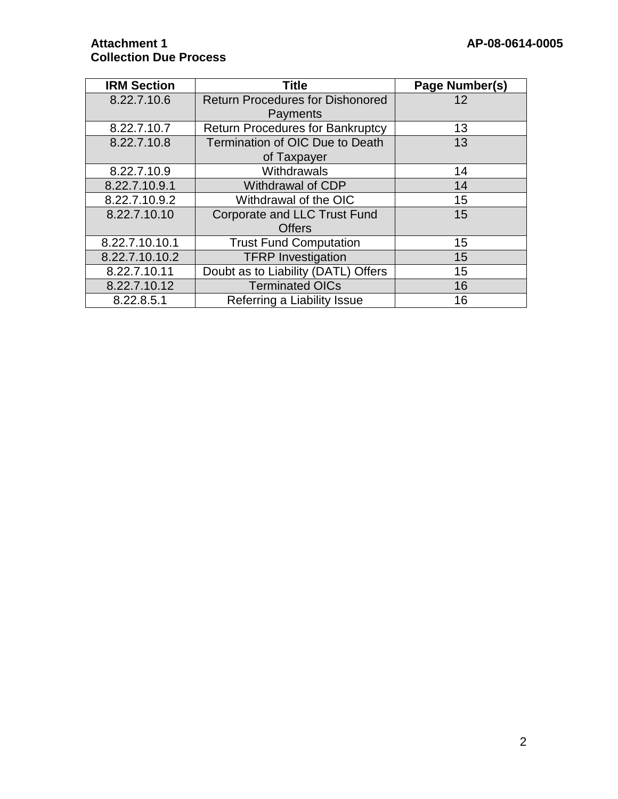| <b>IRM Section</b> | <b>Title</b>                            | Page Number(s) |
|--------------------|-----------------------------------------|----------------|
| 8.22.7.10.6        | <b>Return Procedures for Dishonored</b> | 12             |
|                    | Payments                                |                |
| 8.22.7.10.7        | <b>Return Procedures for Bankruptcy</b> | 13             |
| 8.22.7.10.8        | <b>Termination of OIC Due to Death</b>  | 13             |
|                    | of Taxpayer                             |                |
| 8.22.7.10.9        | Withdrawals                             | 14             |
| 8.22.7.10.9.1      | <b>Withdrawal of CDP</b>                | 14             |
| 8.22.7.10.9.2      | Withdrawal of the OIC                   | 15             |
| 8.22.7.10.10       | <b>Corporate and LLC Trust Fund</b>     | 15             |
|                    | <b>Offers</b>                           |                |
| 8.22.7.10.10.1     | <b>Trust Fund Computation</b>           | 15             |
| 8.22.7.10.10.2     | <b>TFRP</b> Investigation               | 15             |
| 8.22.7.10.11       | Doubt as to Liability (DATL) Offers     | 15             |
| 8.22.7.10.12       | <b>Terminated OICs</b>                  | 16             |
| 8.22.8.5.1         | Referring a Liability Issue             | 16             |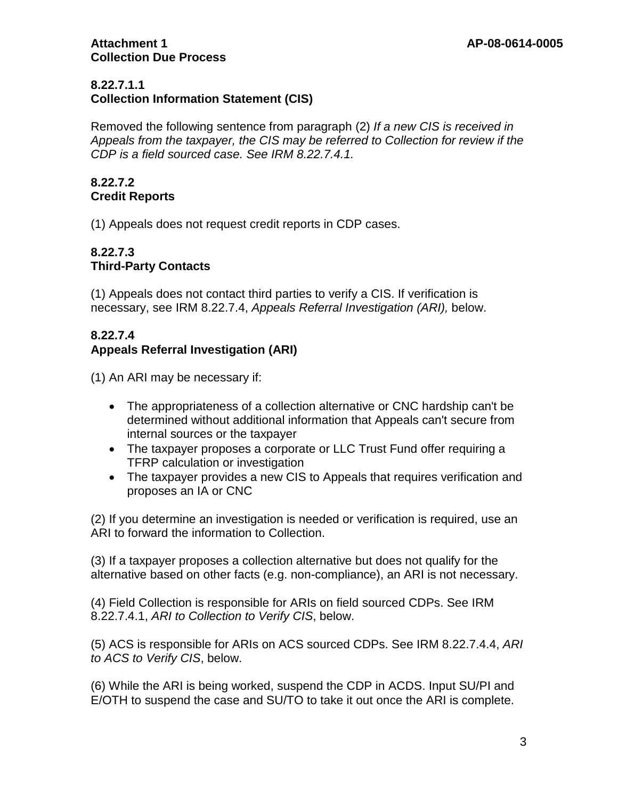## **8.22.7.1.1**

# **Collection Information Statement (CIS)**

Removed the following sentence from paragraph (2) *If a new CIS is received in Appeals from the taxpayer, the CIS may be referred to Collection for review if the CDP is a field sourced case. See IRM 8.22.7.4.1.*

## **8.22.7.2 Credit Reports**

(1) Appeals does not request credit reports in CDP cases.

## **8.22.7.3 Third-Party Contacts**

(1) Appeals does not contact third parties to verify a CIS. If verification is necessary, see IRM 8.22.7.4, *Appeals Referral Investigation (ARI),* below.

# **8.22.7.4**

## **Appeals Referral Investigation (ARI)**

(1) An ARI may be necessary if:

- The appropriateness of a collection alternative or CNC hardship can't be determined without additional information that Appeals can't secure from internal sources or the taxpayer
- The taxpayer proposes a corporate or LLC Trust Fund offer requiring a TFRP calculation or investigation
- The taxpayer provides a new CIS to Appeals that requires verification and proposes an IA or CNC

(2) If you determine an investigation is needed or verification is required, use an ARI to forward the information to Collection.

(3) If a taxpayer proposes a collection alternative but does not qualify for the alternative based on other facts (e.g. non-compliance), an ARI is not necessary.

(4) Field Collection is responsible for ARIs on field sourced CDPs. See IRM 8.22.7.4.1, *ARI to Collection to Verify CIS*, below.

(5) ACS is responsible for ARIs on ACS sourced CDPs. See IRM 8.22.7.4.4, *ARI to ACS to Verify CIS*, below.

(6) While the ARI is being worked, suspend the CDP in ACDS. Input SU/PI and E/OTH to suspend the case and SU/TO to take it out once the ARI is complete.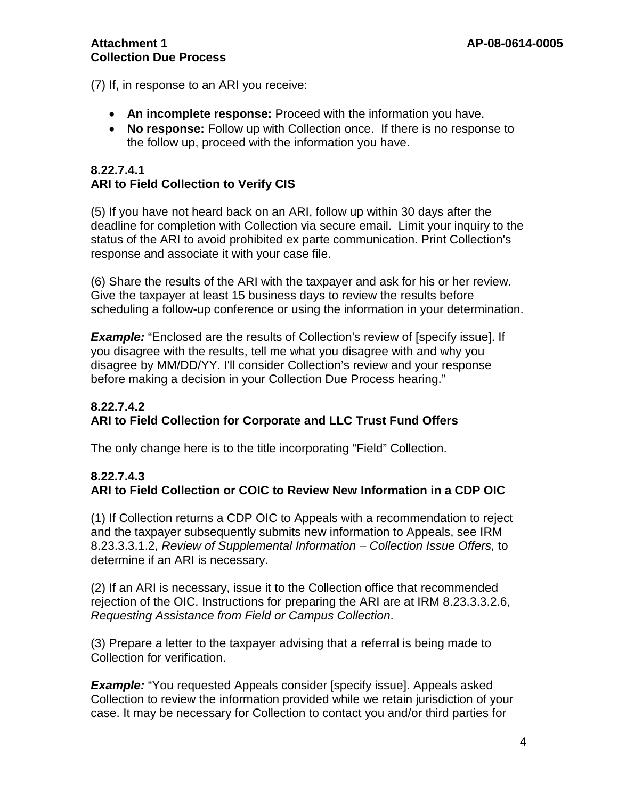(7) If, in response to an ARI you receive:

- **An incomplete response:** Proceed with the information you have.
- **No response:** Follow up with Collection once. If there is no response to the follow up, proceed with the information you have.

## **8.22.7.4.1 ARI to Field Collection to Verify CIS**

(5) If you have not heard back on an ARI, follow up within 30 days after the deadline for completion with Collection via secure email. Limit your inquiry to the status of the ARI to avoid prohibited ex parte communication. Print Collection's response and associate it with your case file.

(6) Share the results of the ARI with the taxpayer and ask for his or her review. Give the taxpayer at least 15 business days to review the results before scheduling a follow-up conference or using the information in your determination.

**Example:** "Enclosed are the results of Collection's review of [specify issue]. If you disagree with the results, tell me what you disagree with and why you disagree by MM/DD/YY. I'll consider Collection's review and your response before making a decision in your Collection Due Process hearing."

## **8.22.7.4.2 ARI to Field Collection for Corporate and LLC Trust Fund Offers**

The only change here is to the title incorporating "Field" Collection.

# **8.22.7.4.3 ARI to Field Collection or COIC to Review New Information in a CDP OIC**

(1) If Collection returns a CDP OIC to Appeals with a recommendation to reject and the taxpayer subsequently submits new information to Appeals, see IRM 8.23.3.3.1.2, *Review of Supplemental Information – Collection Issue Offers,* to determine if an ARI is necessary.

(2) If an ARI is necessary, issue it to the Collection office that recommended rejection of the OIC. Instructions for preparing the ARI are at IRM 8.23.3.3.2.6, *Requesting Assistance from Field or Campus Collection*.

(3) Prepare a letter to the taxpayer advising that a referral is being made to Collection for verification.

*Example:* "You requested Appeals consider [specify issue]. Appeals asked Collection to review the information provided while we retain jurisdiction of your case. It may be necessary for Collection to contact you and/or third parties for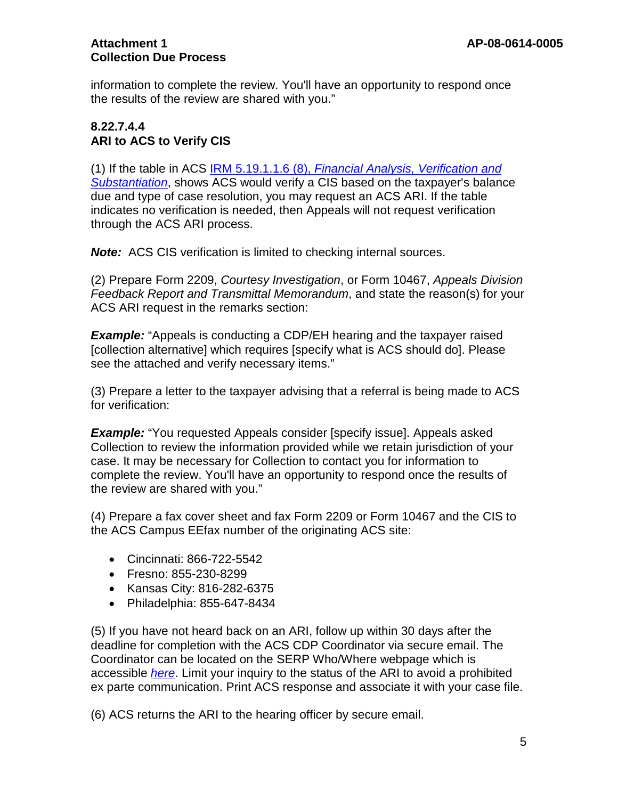information to complete the review. You'll have an opportunity to respond once the results of the review are shared with you."

## **8.22.7.4.4 ARI to ACS to Verify CIS**

(1) If the table in ACS IRM 5.19.1.1.6 (8), *[Financial Analysis, Verification and](http://core.publish.no.irs.gov/irm/p05/ouopdf/irm05-019-001--2013-10-18--ouo.pdf)  [Substantiation](http://core.publish.no.irs.gov/irm/p05/ouopdf/irm05-019-001--2013-10-18--ouo.pdf)*, shows ACS would verify a CIS based on the taxpayer's balance due and type of case resolution, you may request an ACS ARI. If the table indicates no verification is needed, then Appeals will not request verification through the ACS ARI process.

*Note:* ACS CIS verification is limited to checking internal sources.

(2) Prepare Form 2209, *Courtesy Investigation*, or Form 10467, *Appeals Division Feedback Report and Transmittal Memorandum*, and state the reason(s) for your ACS ARI request in the remarks section:

*Example:* "Appeals is conducting a CDP/EH hearing and the taxpayer raised [collection alternative] which requires [specify what is ACS should do]. Please see the attached and verify necessary items."

(3) Prepare a letter to the taxpayer advising that a referral is being made to ACS for verification:

**Example:** "You requested Appeals consider [specify issue]. Appeals asked Collection to review the information provided while we retain jurisdiction of your case. It may be necessary for Collection to contact you for information to complete the review. You'll have an opportunity to respond once the results of the review are shared with you."

(4) Prepare a fax cover sheet and fax Form 2209 or Form 10467 and the CIS to the ACS Campus EEfax number of the originating ACS site:

- Cincinnati: 866-722-5542
- Fresno: 855-230-8299
- Kansas City: 816-282-6375
- Philadelphia: 855-647-8434

(5) If you have not heard back on an ARI, follow up within 30 days after the deadline for completion with the ACS CDP Coordinator via secure email. The Coordinator can be located on the SERP Who/Where webpage which is accessible *[here](http://serp.enterprise.irs.gov/databases/who-where.dr/cdp.dr/cdp-coord.dr/cdp_coordinators.htm)*. Limit your inquiry to the status of the ARI to avoid a prohibited ex parte communication. Print ACS response and associate it with your case file.

(6) ACS returns the ARI to the hearing officer by secure email.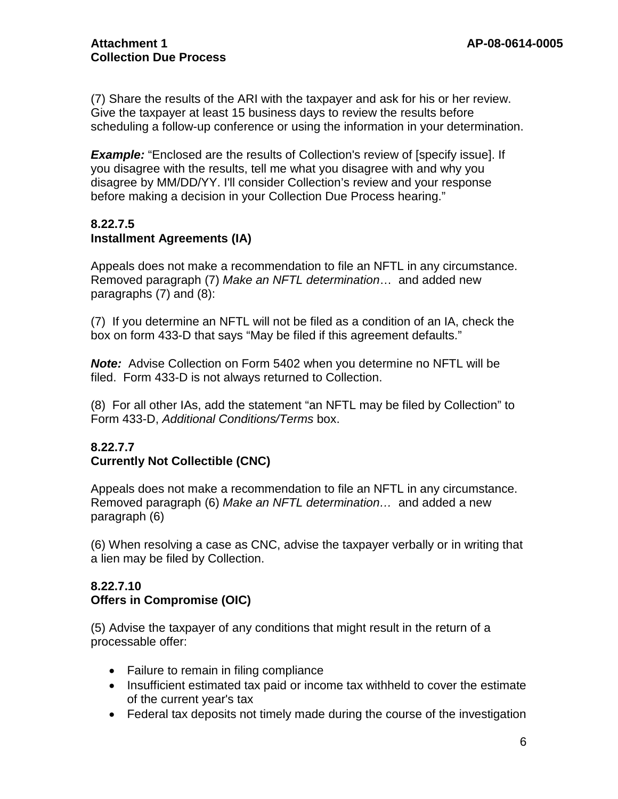(7) Share the results of the ARI with the taxpayer and ask for his or her review. Give the taxpayer at least 15 business days to review the results before scheduling a follow-up conference or using the information in your determination.

**Example:** "Enclosed are the results of Collection's review of [specify issue]. If you disagree with the results, tell me what you disagree with and why you disagree by MM/DD/YY. I'll consider Collection's review and your response before making a decision in your Collection Due Process hearing."

## **8.22.7.5 Installment Agreements (IA)**

Appeals does not make a recommendation to file an NFTL in any circumstance. Removed paragraph (7) *Make an NFTL determination*… and added new paragraphs (7) and (8):

(7) If you determine an NFTL will not be filed as a condition of an IA, check the box on form 433-D that says "May be filed if this agreement defaults."

*Note:* Advise Collection on Form 5402 when you determine no NFTL will be filed. Form 433-D is not always returned to Collection.

(8) For all other IAs, add the statement "an NFTL may be filed by Collection" to Form 433-D, *Additional Conditions/Terms* box.

# **8.22.7.7 Currently Not Collectible (CNC)**

Appeals does not make a recommendation to file an NFTL in any circumstance. Removed paragraph (6) *Make an NFTL determination…* and added a new paragraph (6)

(6) When resolving a case as CNC, advise the taxpayer verbally or in writing that a lien may be filed by Collection.

## **8.22.7.10 Offers in Compromise (OIC)**

(5) Advise the taxpayer of any conditions that might result in the return of a processable offer:

- Failure to remain in filing compliance
- Insufficient estimated tax paid or income tax withheld to cover the estimate of the current year's tax
- Federal tax deposits not timely made during the course of the investigation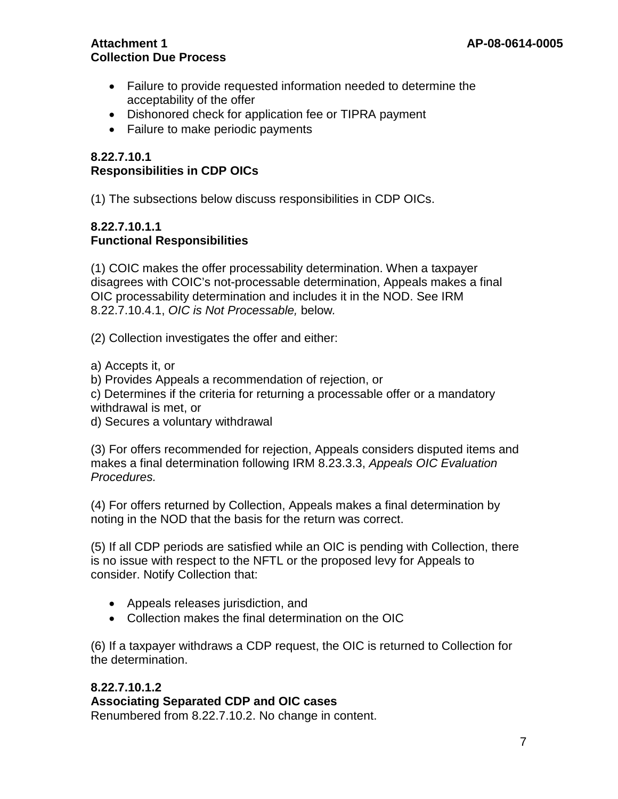- Failure to provide requested information needed to determine the acceptability of the offer
- Dishonored check for application fee or TIPRA payment
- Failure to make periodic payments

## **8.22.7.10.1 Responsibilities in CDP OICs**

(1) The subsections below discuss responsibilities in CDP OICs.

## **8.22.7.10.1.1 Functional Responsibilities**

(1) COIC makes the offer processability determination. When a taxpayer disagrees with COIC's not-processable determination, Appeals makes a final OIC processability determination and includes it in the NOD. See IRM 8.22.7.10.4.1, *OIC is Not Processable,* below*.*

(2) Collection investigates the offer and either:

a) Accepts it, or

b) Provides Appeals a recommendation of rejection, or

c) Determines if the criteria for returning a processable offer or a mandatory withdrawal is met, or

d) Secures a voluntary withdrawal

(3) For offers recommended for rejection, Appeals considers disputed items and makes a final determination following IRM 8.23.3.3, *Appeals OIC Evaluation Procedures.*

(4) For offers returned by Collection, Appeals makes a final determination by noting in the NOD that the basis for the return was correct.

(5) If all CDP periods are satisfied while an OIC is pending with Collection, there is no issue with respect to the NFTL or the proposed levy for Appeals to consider. Notify Collection that:

- Appeals releases jurisdiction, and
- Collection makes the final determination on the OIC

(6) If a taxpayer withdraws a CDP request, the OIC is returned to Collection for the determination.

# **8.22.7.10.1.2 Associating Separated CDP and OIC cases**

Renumbered from 8.22.7.10.2. No change in content.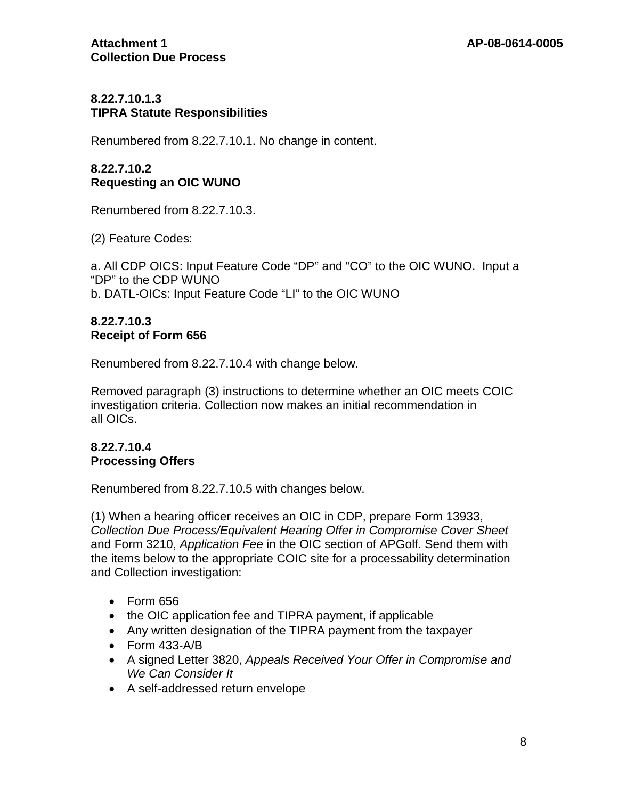## **8.22.7.10.1.3 TIPRA Statute Responsibilities**

Renumbered from 8.22.7.10.1. No change in content.

## **8.22.7.10.2 Requesting an OIC WUNO**

Renumbered from 8.22.7.10.3.

(2) Feature Codes:

a. All CDP OICS: Input Feature Code "DP" and "CO" to the OIC WUNO. Input a "DP" to the CDP WUNO b. DATL-OICs: Input Feature Code "LI" to the OIC WUNO

#### **8.22.7.10.3 Receipt of Form 656**

Renumbered from 8.22.7.10.4 with change below.

Removed paragraph (3) instructions to determine whether an OIC meets COIC investigation criteria. Collection now makes an initial recommendation in all OICs.

## **8.22.7.10.4 Processing Offers**

Renumbered from 8.22.7.10.5 with changes below.

(1) When a hearing officer receives an OIC in CDP, prepare Form 13933, *Collection Due Process/Equivalent Hearing Offer in Compromise Cover Sheet* and Form 3210, *Application Fee* in the OIC section of APGolf. Send them with the items below to the appropriate COIC site for a processability determination and Collection investigation:

- Form 656
- the OIC application fee and TIPRA payment, if applicable
- Any written designation of the TIPRA payment from the taxpayer
- Form 433-A/B
- A signed Letter 3820, *Appeals Received Your Offer in Compromise and We Can Consider It*
- A self-addressed return envelope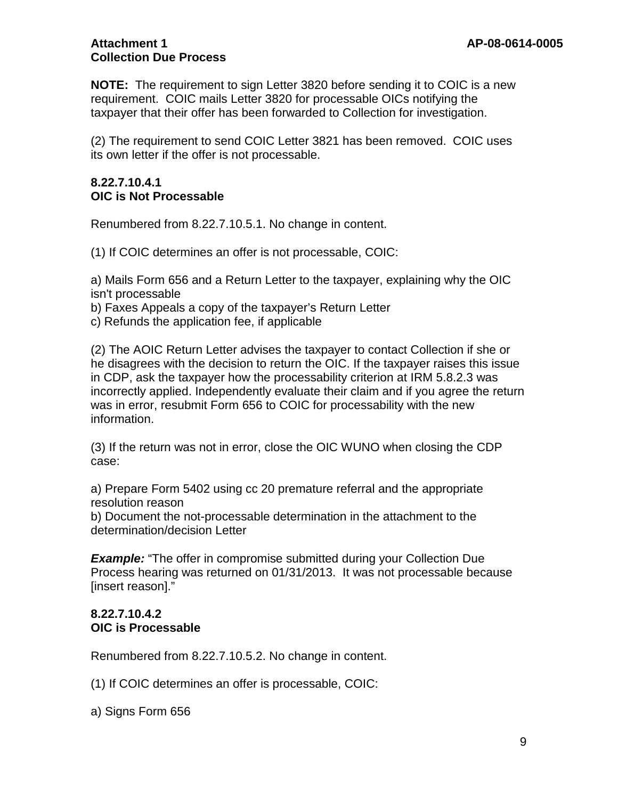**NOTE:** The requirement to sign Letter 3820 before sending it to COIC is a new requirement. COIC mails Letter 3820 for processable OICs notifying the taxpayer that their offer has been forwarded to Collection for investigation.

(2) The requirement to send COIC Letter 3821 has been removed. COIC uses its own letter if the offer is not processable.

#### **8.22.7.10.4.1 OIC is Not Processable**

Renumbered from 8.22.7.10.5.1. No change in content.

(1) If COIC determines an offer is not processable, COIC:

a) Mails Form 656 and a Return Letter to the taxpayer, explaining why the OIC isn't processable

b) Faxes Appeals a copy of the taxpayer's Return Letter

c) Refunds the application fee, if applicable

(2) The AOIC Return Letter advises the taxpayer to contact Collection if she or he disagrees with the decision to return the OIC. If the taxpayer raises this issue in CDP, ask the taxpayer how the processability criterion at IRM 5.8.2.3 was incorrectly applied. Independently evaluate their claim and if you agree the return was in error, resubmit Form 656 to COIC for processability with the new information.

(3) If the return was not in error, close the OIC WUNO when closing the CDP case:

a) Prepare Form 5402 using cc 20 premature referral and the appropriate resolution reason

b) Document the not-processable determination in the attachment to the determination/decision Letter

**Example:** "The offer in compromise submitted during your Collection Due Process hearing was returned on 01/31/2013. It was not processable because [insert reason]."

## **8.22.7.10.4.2 OIC is Processable**

Renumbered from 8.22.7.10.5.2. No change in content.

(1) If COIC determines an offer is processable, COIC:

a) Signs Form 656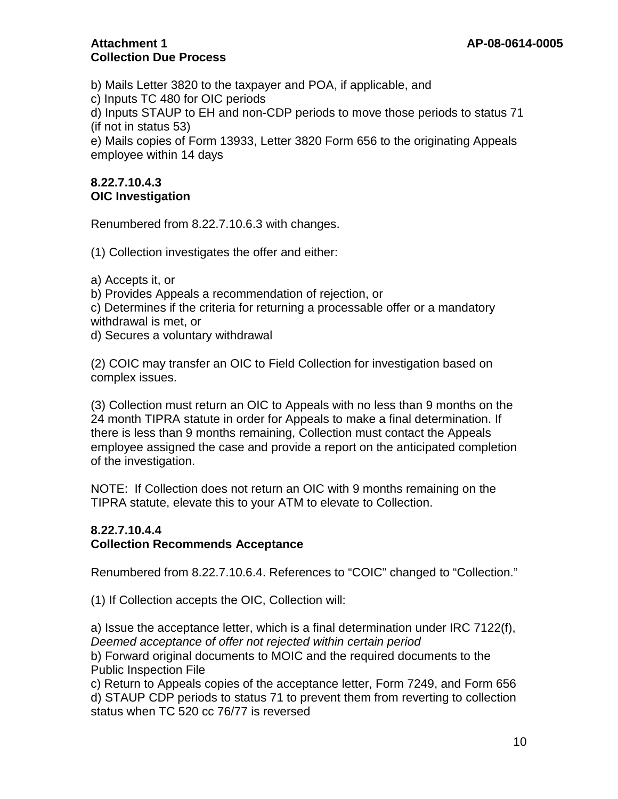b) Mails Letter 3820 to the taxpayer and POA, if applicable, and

c) Inputs TC 480 for OIC periods

d) Inputs STAUP to EH and non-CDP periods to move those periods to status 71 (if not in status 53)

e) Mails copies of Form 13933, Letter 3820 Form 656 to the originating Appeals employee within 14 days

## **8.22.7.10.4.3 OIC Investigation**

Renumbered from 8.22.7.10.6.3 with changes.

(1) Collection investigates the offer and either:

a) Accepts it, or

b) Provides Appeals a recommendation of rejection, or

c) Determines if the criteria for returning a processable offer or a mandatory withdrawal is met, or

d) Secures a voluntary withdrawal

(2) COIC may transfer an OIC to Field Collection for investigation based on complex issues.

(3) Collection must return an OIC to Appeals with no less than 9 months on the 24 month TIPRA statute in order for Appeals to make a final determination. If there is less than 9 months remaining, Collection must contact the Appeals employee assigned the case and provide a report on the anticipated completion of the investigation.

NOTE: If Collection does not return an OIC with 9 months remaining on the TIPRA statute, elevate this to your ATM to elevate to Collection.

## **8.22.7.10.4.4 Collection Recommends Acceptance**

Renumbered from 8.22.7.10.6.4. References to "COIC" changed to "Collection."

(1) If Collection accepts the OIC, Collection will:

a) Issue the acceptance letter, which is a final determination under IRC 7122(f), *Deemed acceptance of offer not rejected within certain period* 

b) Forward original documents to MOIC and the required documents to the Public Inspection File

c) Return to Appeals copies of the acceptance letter, Form 7249, and Form 656 d) STAUP CDP periods to status 71 to prevent them from reverting to collection status when TC 520 cc 76/77 is reversed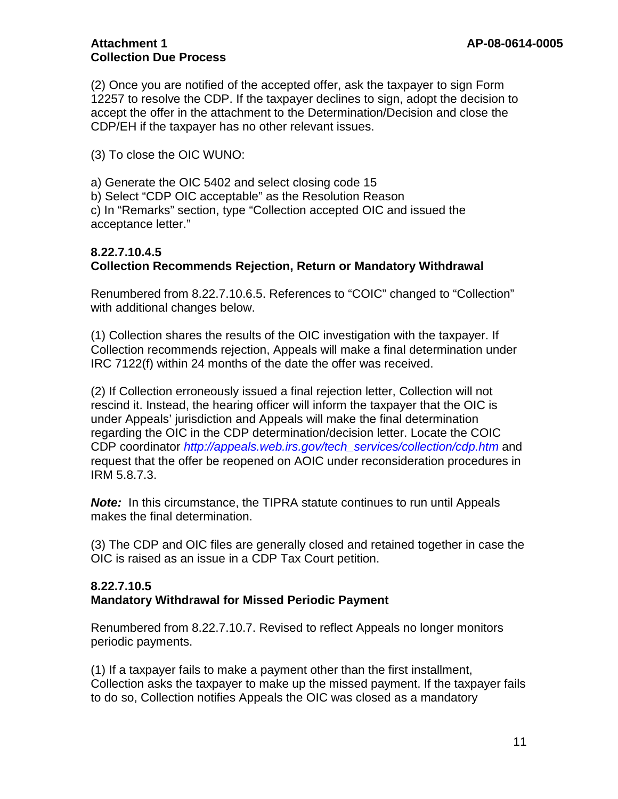(2) Once you are notified of the accepted offer, ask the taxpayer to sign Form 12257 to resolve the CDP. If the taxpayer declines to sign, adopt the decision to accept the offer in the attachment to the Determination/Decision and close the CDP/EH if the taxpayer has no other relevant issues.

(3) To close the OIC WUNO:

a) Generate the OIC 5402 and select closing code 15

b) Select "CDP OIC acceptable" as the Resolution Reason

c) In "Remarks" section, type "Collection accepted OIC and issued the acceptance letter."

## **8.22.7.10.4.5 Collection Recommends Rejection, Return or Mandatory Withdrawal**

Renumbered from 8.22.7.10.6.5. References to "COIC" changed to "Collection" with additional changes below.

(1) Collection shares the results of the OIC investigation with the taxpayer. If Collection recommends rejection, Appeals will make a final determination under IRC 7122(f) within 24 months of the date the offer was received.

(2) If Collection erroneously issued a final rejection letter, Collection will not rescind it. Instead, the hearing officer will inform the taxpayer that the OIC is under Appeals' jurisdiction and Appeals will make the final determination regarding the OIC in the CDP determination/decision letter. Locate the COIC CDP coordinator *http://appeals.web.irs.gov/tech\_services/collection/cdp.htm* and request that the offer be reopened on AOIC under reconsideration procedures in IRM 5.8.7.3.

*Note:* In this circumstance, the TIPRA statute continues to run until Appeals makes the final determination.

(3) The CDP and OIC files are generally closed and retained together in case the OIC is raised as an issue in a CDP Tax Court petition.

#### **8.22.7.10.5 Mandatory Withdrawal for Missed Periodic Payment**

Renumbered from 8.22.7.10.7. Revised to reflect Appeals no longer monitors periodic payments.

(1) If a taxpayer fails to make a payment other than the first installment, Collection asks the taxpayer to make up the missed payment. If the taxpayer fails to do so, Collection notifies Appeals the OIC was closed as a mandatory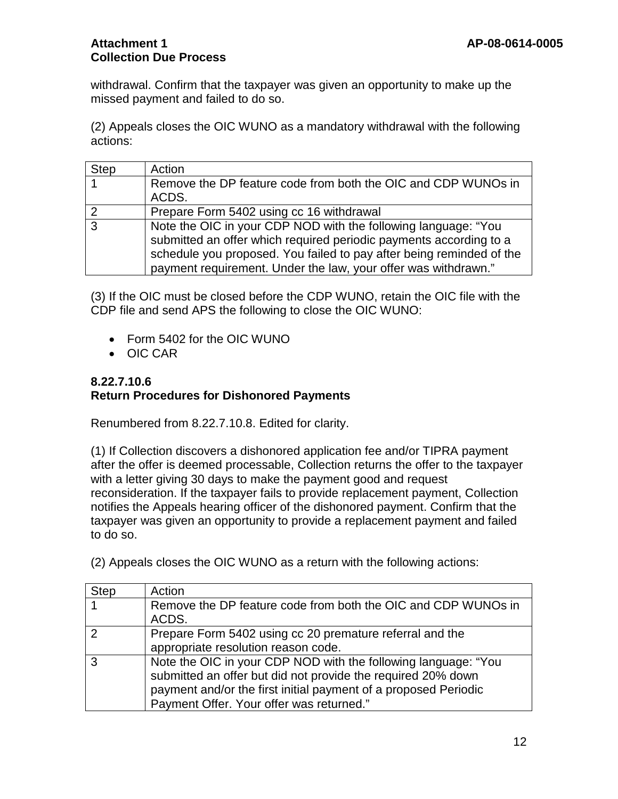withdrawal. Confirm that the taxpayer was given an opportunity to make up the missed payment and failed to do so.

(2) Appeals closes the OIC WUNO as a mandatory withdrawal with the following actions:

| <b>Step</b> | Action                                                                                                                               |
|-------------|--------------------------------------------------------------------------------------------------------------------------------------|
|             | Remove the DP feature code from both the OIC and CDP WUNOs in<br>ACDS.                                                               |
|             |                                                                                                                                      |
| ႒           | Prepare Form 5402 using cc 16 withdrawal                                                                                             |
| 3           | Note the OIC in your CDP NOD with the following language: "You<br>submitted an offer which required periodic payments according to a |
|             |                                                                                                                                      |
|             | schedule you proposed. You failed to pay after being reminded of the                                                                 |
|             | payment requirement. Under the law, your offer was withdrawn."                                                                       |

(3) If the OIC must be closed before the CDP WUNO, retain the OIC file with the CDP file and send APS the following to close the OIC WUNO:

- Form 5402 for the OIC WUNO
- OIC CAR

#### **8.22.7.10.6 Return Procedures for Dishonored Payments**

Renumbered from 8.22.7.10.8. Edited for clarity.

(1) If Collection discovers a dishonored application fee and/or TIPRA payment after the offer is deemed processable, Collection returns the offer to the taxpayer with a letter giving 30 days to make the payment good and request reconsideration. If the taxpayer fails to provide replacement payment, Collection notifies the Appeals hearing officer of the dishonored payment. Confirm that the taxpayer was given an opportunity to provide a replacement payment and failed to do so.

(2) Appeals closes the OIC WUNO as a return with the following actions:

| <b>Step</b> | Action                                                          |
|-------------|-----------------------------------------------------------------|
|             | Remove the DP feature code from both the OIC and CDP WUNOs in   |
|             | ACDS.                                                           |
|             | Prepare Form 5402 using cc 20 premature referral and the        |
|             | appropriate resolution reason code.                             |
| 3           | Note the OIC in your CDP NOD with the following language: "You  |
|             | submitted an offer but did not provide the required 20% down    |
|             | payment and/or the first initial payment of a proposed Periodic |
|             | Payment Offer. Your offer was returned."                        |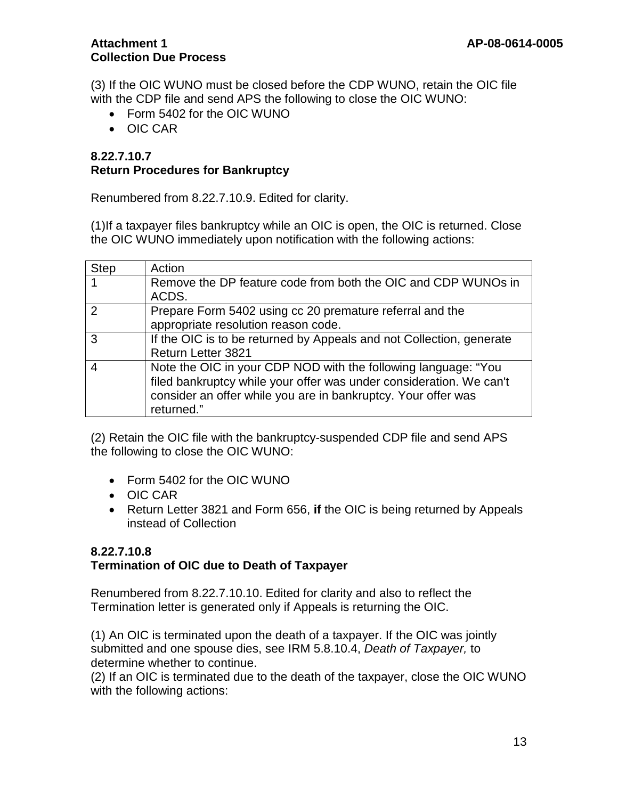(3) If the OIC WUNO must be closed before the CDP WUNO, retain the OIC file with the CDP file and send APS the following to close the OIC WUNO:

- Form 5402 for the OIC WUNO
- OIC CAR

#### **8.22.7.10.7 Return Procedures for Bankruptcy**

Renumbered from 8.22.7.10.9. Edited for clarity.

(1)If a taxpayer files bankruptcy while an OIC is open, the OIC is returned. Close the OIC WUNO immediately upon notification with the following actions:

| <b>Step</b>   | Action                                                               |
|---------------|----------------------------------------------------------------------|
|               | Remove the DP feature code from both the OIC and CDP WUNOs in        |
|               | ACDS.                                                                |
| $\mathcal{P}$ | Prepare Form 5402 using cc 20 premature referral and the             |
|               | appropriate resolution reason code.                                  |
| 3             | If the OIC is to be returned by Appeals and not Collection, generate |
|               | <b>Return Letter 3821</b>                                            |
|               | Note the OIC in your CDP NOD with the following language: "You       |
|               | filed bankruptcy while your offer was under consideration. We can't  |
|               | consider an offer while you are in bankruptcy. Your offer was        |
|               | returned."                                                           |

(2) Retain the OIC file with the bankruptcy-suspended CDP file and send APS the following to close the OIC WUNO:

- Form 5402 for the OIC WUNO
- OIC CAR
- Return Letter 3821 and Form 656, **if** the OIC is being returned by Appeals instead of Collection

#### **8.22.7.10.8 Termination of OIC due to Death of Taxpayer**

Renumbered from 8.22.7.10.10. Edited for clarity and also to reflect the Termination letter is generated only if Appeals is returning the OIC.

(1) An OIC is terminated upon the death of a taxpayer. If the OIC was jointly submitted and one spouse dies, see IRM 5.8.10.4, *Death of Taxpayer,* to determine whether to continue.

(2) If an OIC is terminated due to the death of the taxpayer, close the OIC WUNO with the following actions: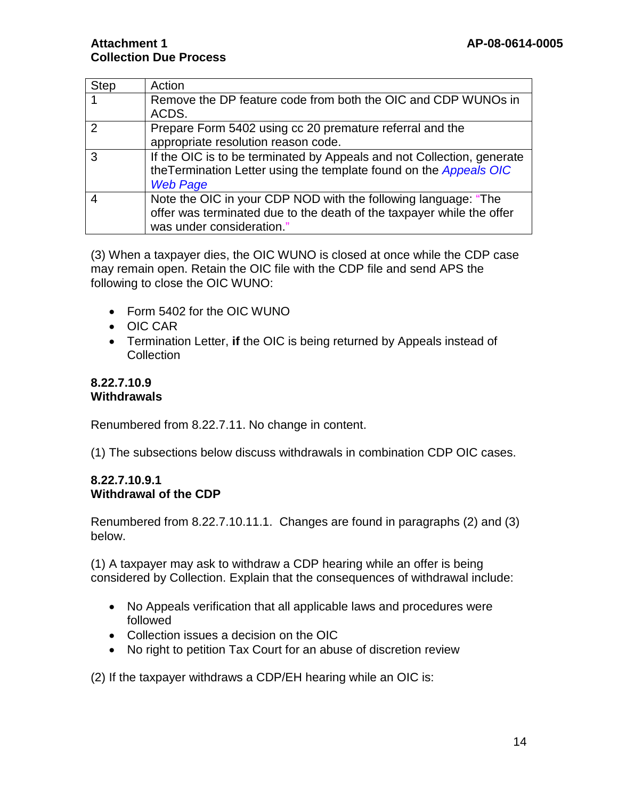| <b>Step</b> | Action                                                                 |
|-------------|------------------------------------------------------------------------|
|             | Remove the DP feature code from both the OIC and CDP WUNOs in          |
|             | ACDS.                                                                  |
| 2           | Prepare Form 5402 using cc 20 premature referral and the               |
|             | appropriate resolution reason code.                                    |
|             | If the OIC is to be terminated by Appeals and not Collection, generate |
|             | the Termination Letter using the template found on the Appeals OIC     |
|             | <b>Web Page</b>                                                        |
|             | Note the OIC in your CDP NOD with the following language: "The         |
|             | offer was terminated due to the death of the taxpayer while the offer  |
|             | was under consideration."                                              |

(3) When a taxpayer dies, the OIC WUNO is closed at once while the CDP case may remain open. Retain the OIC file with the CDP file and send APS the following to close the OIC WUNO:

- Form 5402 for the OIC WUNO
- OIC CAR
- Termination Letter, **if** the OIC is being returned by Appeals instead of **Collection**

#### **8.22.7.10.9 Withdrawals**

Renumbered from 8.22.7.11. No change in content.

(1) The subsections below discuss withdrawals in combination CDP OIC cases.

#### **8.22.7.10.9.1 Withdrawal of the CDP**

Renumbered from 8.22.7.10.11.1. Changes are found in paragraphs (2) and (3) below.

(1) A taxpayer may ask to withdraw a CDP hearing while an offer is being considered by Collection. Explain that the consequences of withdrawal include:

- No Appeals verification that all applicable laws and procedures were followed
- Collection issues a decision on the OIC
- No right to petition Tax Court for an abuse of discretion review

(2) If the taxpayer withdraws a CDP/EH hearing while an OIC is: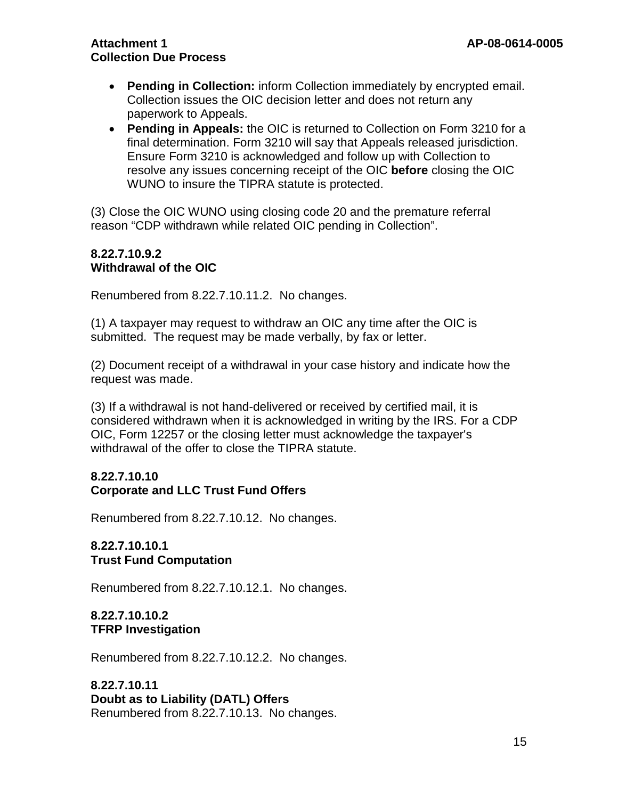- **Pending in Collection:** inform Collection immediately by encrypted email. Collection issues the OIC decision letter and does not return any paperwork to Appeals.
- **Pending in Appeals:** the OIC is returned to Collection on Form 3210 for a final determination. Form 3210 will say that Appeals released jurisdiction. Ensure Form 3210 is acknowledged and follow up with Collection to resolve any issues concerning receipt of the OIC **before** closing the OIC WUNO to insure the TIPRA statute is protected.

(3) Close the OIC WUNO using closing code 20 and the premature referral reason "CDP withdrawn while related OIC pending in Collection".

#### **8.22.7.10.9.2 Withdrawal of the OIC**

Renumbered from 8.22.7.10.11.2. No changes.

(1) A taxpayer may request to withdraw an OIC any time after the OIC is submitted. The request may be made verbally, by fax or letter.

(2) Document receipt of a withdrawal in your case history and indicate how the request was made.

(3) If a withdrawal is not hand-delivered or received by certified mail, it is considered withdrawn when it is acknowledged in writing by the IRS. For a CDP OIC, Form 12257 or the closing letter must acknowledge the taxpayer's withdrawal of the offer to close the TIPRA statute.

## **8.22.7.10.10 Corporate and LLC Trust Fund Offers**

Renumbered from 8.22.7.10.12. No changes.

## **8.22.7.10.10.1 Trust Fund Computation**

Renumbered from 8.22.7.10.12.1. No changes.

#### **8.22.7.10.10.2 TFRP Investigation**

Renumbered from 8.22.7.10.12.2. No changes.

**8.22.7.10.11 Doubt as to Liability (DATL) Offers** Renumbered from 8.22.7.10.13. No changes.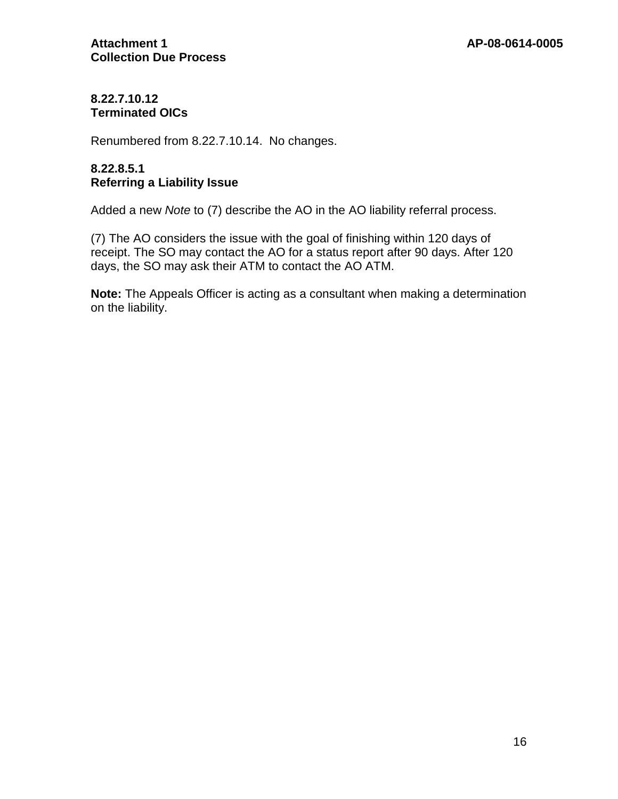## **8.22.7.10.12 Terminated OICs**

Renumbered from 8.22.7.10.14. No changes.

## **8.22.8.5.1 Referring a Liability Issue**

Added a new *Note* to (7) describe the AO in the AO liability referral process.

(7) The AO considers the issue with the goal of finishing within 120 days of receipt. The SO may contact the AO for a status report after 90 days. After 120 days, the SO may ask their ATM to contact the AO ATM.

**Note:** The Appeals Officer is acting as a consultant when making a determination on the liability.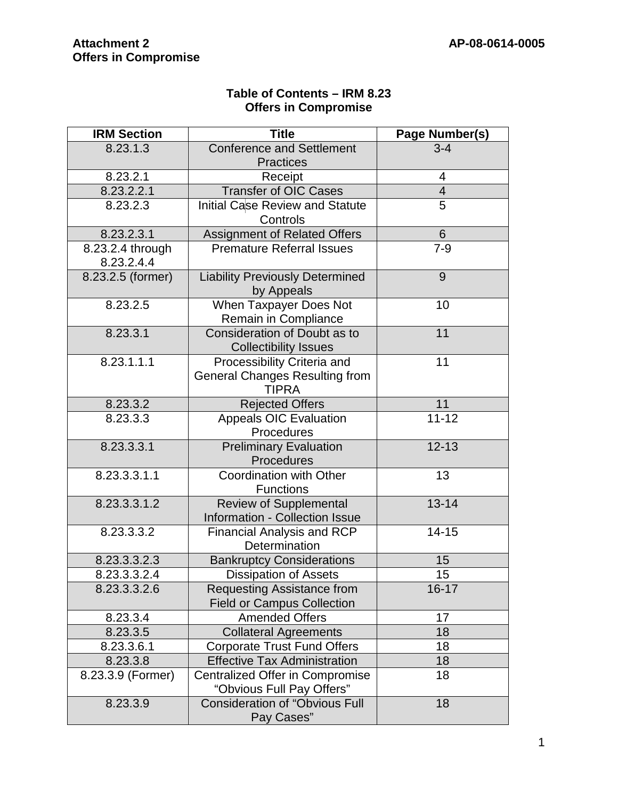| Table of Contents - IRM 8.23 |  |
|------------------------------|--|
| <b>Offers in Compromise</b>  |  |

| <b>IRM Section</b>             | <b>Title</b>                                                                         | Page Number(s) |
|--------------------------------|--------------------------------------------------------------------------------------|----------------|
| 8.23.1.3                       | <b>Conference and Settlement</b>                                                     | $3 - 4$        |
|                                | <b>Practices</b>                                                                     |                |
| 8.23.2.1                       | Receipt                                                                              | 4              |
| 8.23.2.2.1                     | <b>Transfer of OIC Cases</b>                                                         | $\overline{4}$ |
| 8.23.2.3                       | <b>Initial Case Review and Statute</b><br>Controls                                   | 5              |
| 8.23.2.3.1                     | Assignment of Related Offers                                                         | $6\phantom{1}$ |
| 8.23.2.4 through<br>8.23.2.4.4 | <b>Premature Referral Issues</b>                                                     | $7 - 9$        |
| 8.23.2.5 (former)              | <b>Liability Previously Determined</b><br>by Appeals                                 | 9              |
| 8.23.2.5                       | When Taxpayer Does Not<br>Remain in Compliance                                       | 10             |
| 8.23.3.1                       | Consideration of Doubt as to<br><b>Collectibility Issues</b>                         | 11             |
| 8.23.1.1.1                     | Processibility Criteria and<br><b>General Changes Resulting from</b><br><b>TIPRA</b> | 11             |
| 8.23.3.2                       | <b>Rejected Offers</b>                                                               | 11             |
| 8.23.3.3                       | <b>Appeals OIC Evaluation</b>                                                        | $11 - 12$      |
|                                | Procedures                                                                           |                |
| 8.23.3.3.1                     | <b>Preliminary Evaluation</b><br>Procedures                                          | $12 - 13$      |
| 8.23.3.3.1.1                   | <b>Coordination with Other</b><br><b>Functions</b>                                   | 13             |
| 8.23.3.3.1.2                   | Review of Supplemental<br>Information - Collection Issue                             | $13 - 14$      |
| 8.23.3.3.2                     | <b>Financial Analysis and RCP</b><br>Determination                                   | $14 - 15$      |
| 8.23.3.3.2.3                   | <b>Bankruptcy Considerations</b>                                                     | 15             |
| 8.23.3.3.2.4                   | <b>Dissipation of Assets</b>                                                         | 15             |
| 8.23.3.3.2.6                   | Requesting Assistance from<br><b>Field or Campus Collection</b>                      | $16 - 17$      |
| 8.23.3.4                       | <b>Amended Offers</b>                                                                | 17             |
| 8.23.3.5                       | <b>Collateral Agreements</b>                                                         | 18             |
| 8.23.3.6.1                     | 18<br><b>Corporate Trust Fund Offers</b>                                             |                |
| 8.23.3.8                       | <b>Effective Tax Administration</b>                                                  | 18             |
| 8.23.3.9 (Former)              | <b>Centralized Offer in Compromise</b><br>"Obvious Full Pay Offers"                  | 18             |
| 8.23.3.9                       | <b>Consideration of "Obvious Full</b><br>Pay Cases"                                  | 18             |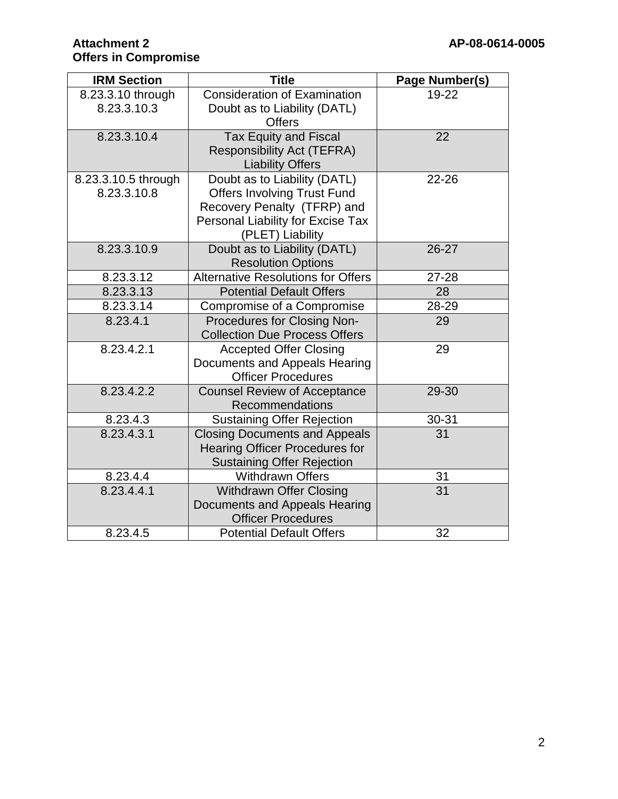| <b>IRM Section</b>                 | <b>Title</b>                                                                                                                                               |       |
|------------------------------------|------------------------------------------------------------------------------------------------------------------------------------------------------------|-------|
| 8.23.3.10 through<br>8.23.3.10.3   | <b>Consideration of Examination</b><br>Doubt as to Liability (DATL)<br><b>Offers</b>                                                                       | 19-22 |
| 8.23.3.10.4                        | <b>Tax Equity and Fiscal</b><br><b>Responsibility Act (TEFRA)</b><br><b>Liability Offers</b>                                                               | 22    |
| 8.23.3.10.5 through<br>8.23.3.10.8 | Doubt as to Liability (DATL)<br><b>Offers Involving Trust Fund</b><br>Recovery Penalty (TFRP) and<br>Personal Liability for Excise Tax<br>(PLET) Liability | 22-26 |
| 8.23.3.10.9                        | Doubt as to Liability (DATL)<br><b>Resolution Options</b>                                                                                                  | 26-27 |
| 8.23.3.12                          | <b>Alternative Resolutions for Offers</b>                                                                                                                  | 27-28 |
| 8.23.3.13                          | <b>Potential Default Offers</b>                                                                                                                            | 28    |
| 8.23.3.14                          | Compromise of a Compromise                                                                                                                                 | 28-29 |
| 8.23.4.1                           | Procedures for Closing Non-<br><b>Collection Due Process Offers</b>                                                                                        | 29    |
| 8.23.4.2.1                         | <b>Accepted Offer Closing</b><br>Documents and Appeals Hearing<br><b>Officer Procedures</b>                                                                | 29    |
| 8.23.4.2.2                         | <b>Counsel Review of Acceptance</b><br>Recommendations                                                                                                     | 29-30 |
| 8.23.4.3                           | <b>Sustaining Offer Rejection</b>                                                                                                                          | 30-31 |
| 8.23.4.3.1                         | <b>Closing Documents and Appeals</b><br><b>Hearing Officer Procedures for</b><br><b>Sustaining Offer Rejection</b>                                         | 31    |
| 8.23.4.4                           | <b>Withdrawn Offers</b>                                                                                                                                    | 31    |
| 8.23.4.4.1                         | <b>Withdrawn Offer Closing</b><br>Documents and Appeals Hearing<br><b>Officer Procedures</b>                                                               | 31    |
| 8.23.4.5                           | <b>Potential Default Offers</b>                                                                                                                            | 32    |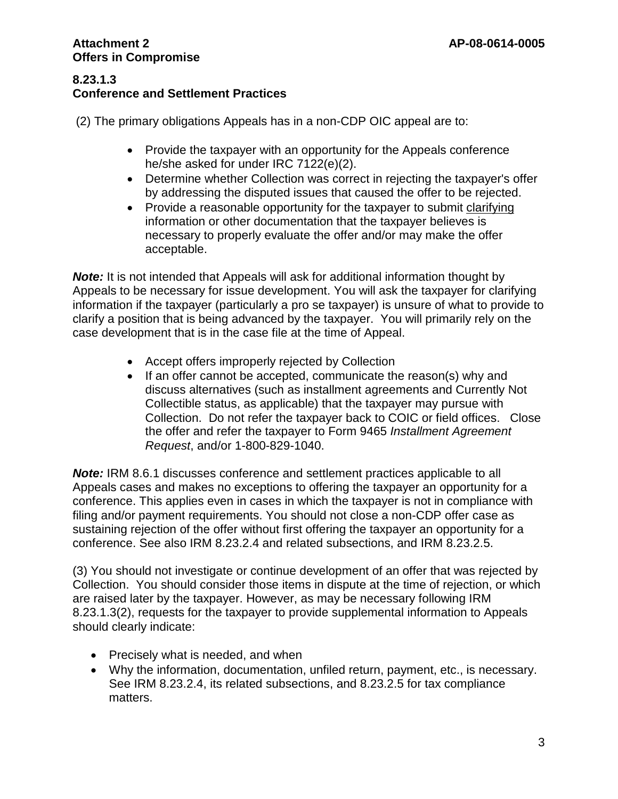#### **8.23.1.3 Conference and Settlement Practices**

(2) The primary obligations Appeals has in a non-CDP OIC appeal are to:

- Provide the taxpayer with an opportunity for the Appeals conference he/she asked for under IRC 7122(e)(2).
- Determine whether Collection was correct in rejecting the taxpayer's offer by addressing the disputed issues that caused the offer to be rejected.
- Provide a reasonable opportunity for the taxpayer to submit clarifying information or other documentation that the taxpayer believes is necessary to properly evaluate the offer and/or may make the offer acceptable.

**Note:** It is not intended that Appeals will ask for additional information thought by Appeals to be necessary for issue development. You will ask the taxpayer for clarifying information if the taxpayer (particularly a pro se taxpayer) is unsure of what to provide to clarify a position that is being advanced by the taxpayer. You will primarily rely on the case development that is in the case file at the time of Appeal.

- Accept offers improperly rejected by Collection
- If an offer cannot be accepted, communicate the reason(s) why and discuss alternatives (such as installment agreements and Currently Not Collectible status, as applicable) that the taxpayer may pursue with Collection. Do not refer the taxpayer back to COIC or field offices. Close the offer and refer the taxpayer to Form 9465 *Installment Agreement Request*, and/or 1-800-829-1040.

**Note:** IRM 8.6.1 discusses conference and settlement practices applicable to all Appeals cases and makes no exceptions to offering the taxpayer an opportunity for a conference. This applies even in cases in which the taxpayer is not in compliance with filing and/or payment requirements. You should not close a non-CDP offer case as sustaining rejection of the offer without first offering the taxpayer an opportunity for a conference. See also IRM 8.23.2.4 and related subsections, and IRM 8.23.2.5.

(3) You should not investigate or continue development of an offer that was rejected by Collection. You should consider those items in dispute at the time of rejection, or which are raised later by the taxpayer. However, as may be necessary following IRM 8.23.1.3(2), requests for the taxpayer to provide supplemental information to Appeals should clearly indicate:

- Precisely what is needed, and when
- Why the information, documentation, unfiled return, payment, etc., is necessary. See IRM 8.23.2.4, its related subsections, and 8.23.2.5 for tax compliance matters.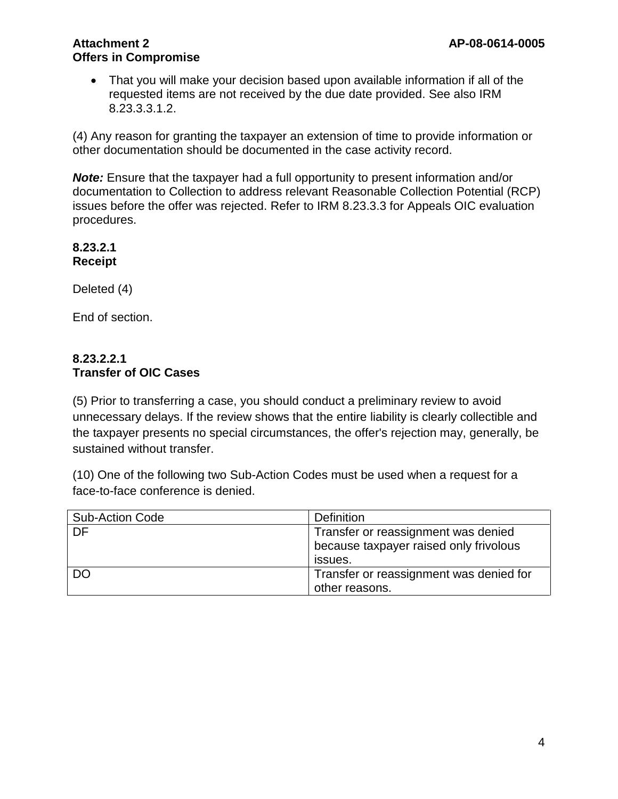• That you will make your decision based upon available information if all of the requested items are not received by the due date provided. See also IRM 8.23.3.3.1.2.

(4) Any reason for granting the taxpayer an extension of time to provide information or other documentation should be documented in the case activity record.

*Note:* Ensure that the taxpayer had a full opportunity to present information and/or documentation to Collection to address relevant Reasonable Collection Potential (RCP) issues before the offer was rejected. Refer to IRM 8.23.3.3 for Appeals OIC evaluation procedures.

**8.23.2.1 Receipt**

Deleted (4)

End of section.

## **8.23.2.2.1 Transfer of OIC Cases**

(5) Prior to transferring a case, you should conduct a preliminary review to avoid unnecessary delays. If the review shows that the entire liability is clearly collectible and the taxpayer presents no special circumstances, the offer's rejection may, generally, be sustained without transfer.

(10) One of the following two Sub-Action Codes must be used when a request for a face-to-face conference is denied.

| <b>Sub-Action Code</b> | <b>Definition</b>                                                             |  |
|------------------------|-------------------------------------------------------------------------------|--|
| DF.                    | Transfer or reassignment was denied<br>because taxpayer raised only frivolous |  |
|                        | issues.                                                                       |  |
| <b>DO</b>              | Transfer or reassignment was denied for                                       |  |
|                        | other reasons.                                                                |  |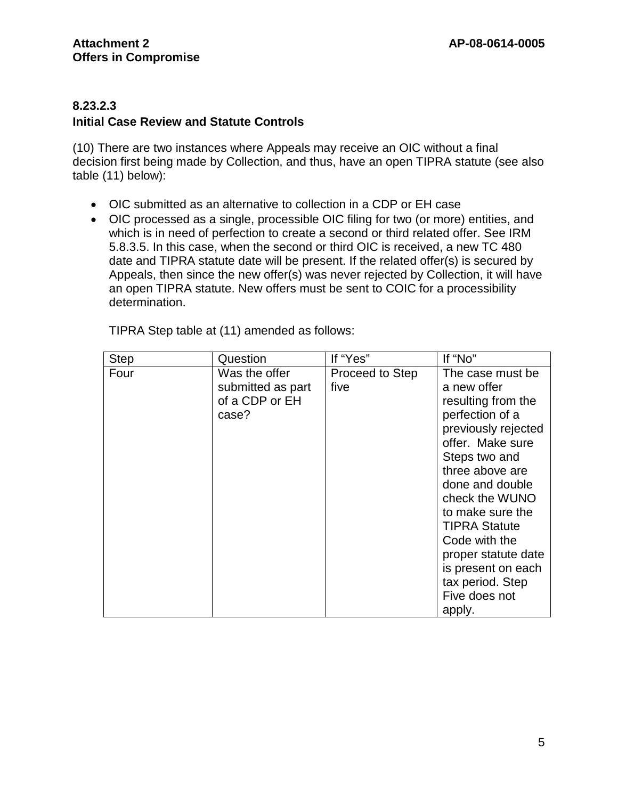## **8.23.2.3**

## **Initial Case Review and Statute Controls**

(10) There are two instances where Appeals may receive an OIC without a final decision first being made by Collection, and thus, have an open TIPRA statute (see also table (11) below):

- OIC submitted as an alternative to collection in a CDP or EH case
- OIC processed as a single, processible OIC filing for two (or more) entities, and which is in need of perfection to create a second or third related offer. See IRM 5.8.3.5. In this case, when the second or third OIC is received, a new TC 480 date and TIPRA statute date will be present. If the related offer(s) is secured by Appeals, then since the new offer(s) was never rejected by Collection, it will have an open TIPRA statute. New offers must be sent to COIC for a processibility determination.

| <b>Step</b> | Question                                                      | If "Yes"                | If "No"                                                                                                                                                                                                                                                                                                                                               |
|-------------|---------------------------------------------------------------|-------------------------|-------------------------------------------------------------------------------------------------------------------------------------------------------------------------------------------------------------------------------------------------------------------------------------------------------------------------------------------------------|
| Four        | Was the offer<br>submitted as part<br>of a CDP or EH<br>case? | Proceed to Step<br>five | The case must be<br>a new offer<br>resulting from the<br>perfection of a<br>previously rejected<br>offer. Make sure<br>Steps two and<br>three above are<br>done and double<br>check the WUNO<br>to make sure the<br><b>TIPRA Statute</b><br>Code with the<br>proper statute date<br>is present on each<br>tax period. Step<br>Five does not<br>apply. |

TIPRA Step table at (11) amended as follows: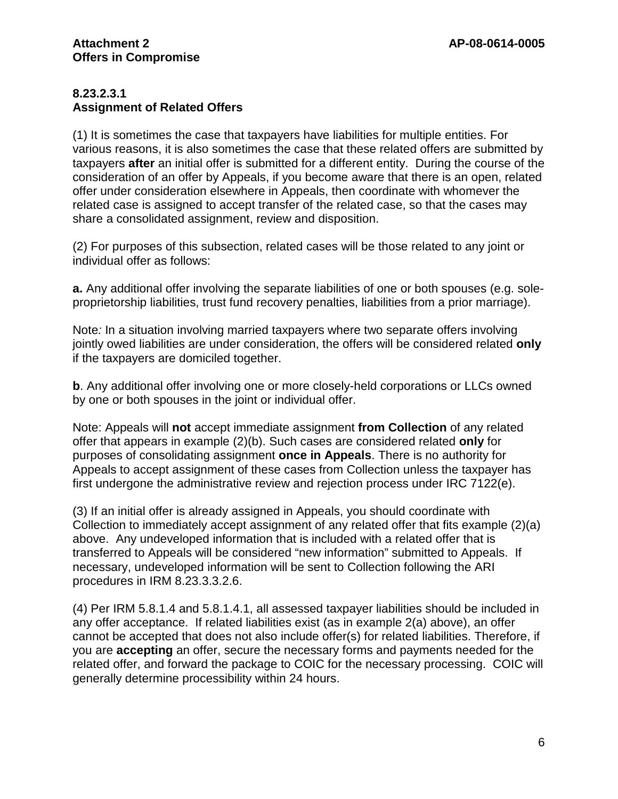#### **8.23.2.3.1 Assignment of Related Offers**

(1) It is sometimes the case that taxpayers have liabilities for multiple entities. For various reasons, it is also sometimes the case that these related offers are submitted by taxpayers **after** an initial offer is submitted for a different entity. During the course of the consideration of an offer by Appeals, if you become aware that there is an open, related offer under consideration elsewhere in Appeals, then coordinate with whomever the related case is assigned to accept transfer of the related case, so that the cases may share a consolidated assignment, review and disposition.

(2) For purposes of this subsection, related cases will be those related to any joint or individual offer as follows:

**a.** Any additional offer involving the separate liabilities of one or both spouses (e.g. soleproprietorship liabilities, trust fund recovery penalties, liabilities from a prior marriage).

Note*:* In a situation involving married taxpayers where two separate offers involving jointly owed liabilities are under consideration, the offers will be considered related **only**  if the taxpayers are domiciled together.

**b**. Any additional offer involving one or more closely-held corporations or LLCs owned by one or both spouses in the joint or individual offer.

Note: Appeals will **not** accept immediate assignment **from Collection** of any related offer that appears in example (2)(b). Such cases are considered related **only** for purposes of consolidating assignment **once in Appeals**. There is no authority for Appeals to accept assignment of these cases from Collection unless the taxpayer has first undergone the administrative review and rejection process under IRC 7122(e).

(3) If an initial offer is already assigned in Appeals, you should coordinate with Collection to immediately accept assignment of any related offer that fits example (2)(a) above. Any undeveloped information that is included with a related offer that is transferred to Appeals will be considered "new information" submitted to Appeals. If necessary, undeveloped information will be sent to Collection following the ARI procedures in IRM 8.23.3.3.2.6.

(4) Per IRM 5.8.1.4 and 5.8.1.4.1, all assessed taxpayer liabilities should be included in any offer acceptance. If related liabilities exist (as in example 2(a) above), an offer cannot be accepted that does not also include offer(s) for related liabilities. Therefore, if you are **accepting** an offer, secure the necessary forms and payments needed for the related offer, and forward the package to COIC for the necessary processing. COIC will generally determine processibility within 24 hours.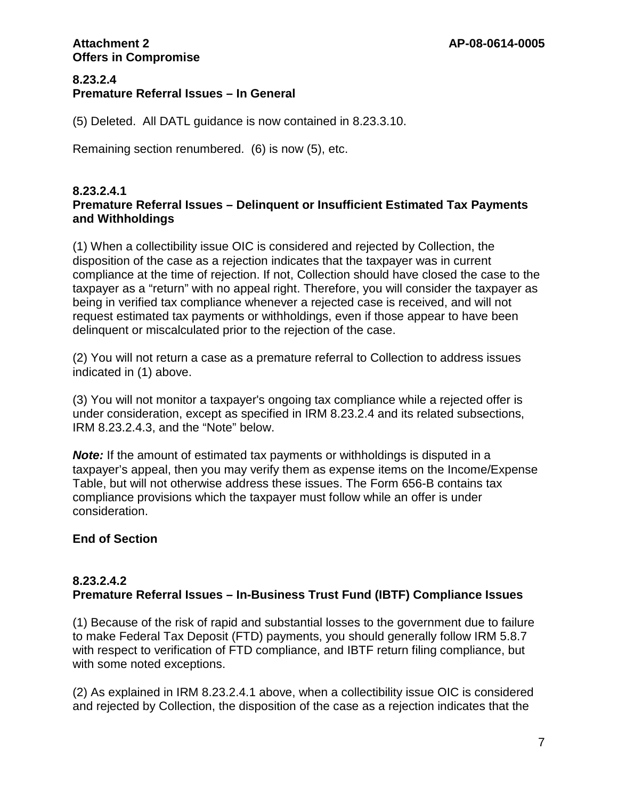#### **8.23.2.4 Premature Referral Issues – In General**

(5) Deleted. All DATL guidance is now contained in 8.23.3.10.

Remaining section renumbered. (6) is now (5), etc.

#### **8.23.2.4.1 Premature Referral Issues – Delinquent or Insufficient Estimated Tax Payments and Withholdings**

(1) When a collectibility issue OIC is considered and rejected by Collection, the disposition of the case as a rejection indicates that the taxpayer was in current compliance at the time of rejection. If not, Collection should have closed the case to the taxpayer as a "return" with no appeal right. Therefore, you will consider the taxpayer as being in verified tax compliance whenever a rejected case is received, and will not request estimated tax payments or withholdings, even if those appear to have been delinquent or miscalculated prior to the rejection of the case.

(2) You will not return a case as a premature referral to Collection to address issues indicated in (1) above.

(3) You will not monitor a taxpayer's ongoing tax compliance while a rejected offer is under consideration, except as specified in IRM 8.23.2.4 and its related subsections, IRM 8.23.2.4.3, and the "Note" below.

*Note:* If the amount of estimated tax payments or withholdings is disputed in a taxpayer's appeal, then you may verify them as expense items on the Income/Expense Table, but will not otherwise address these issues. The Form 656-B contains tax compliance provisions which the taxpayer must follow while an offer is under consideration.

# **End of Section**

## **8.23.2.4.2 Premature Referral Issues – In-Business Trust Fund (IBTF) Compliance Issues**

(1) Because of the risk of rapid and substantial losses to the government due to failure to make Federal Tax Deposit (FTD) payments, you should generally follow IRM 5.8.7 with respect to verification of FTD compliance, and IBTF return filing compliance, but with some noted exceptions.

(2) As explained in IRM 8.23.2.4.1 above, when a collectibility issue OIC is considered and rejected by Collection, the disposition of the case as a rejection indicates that the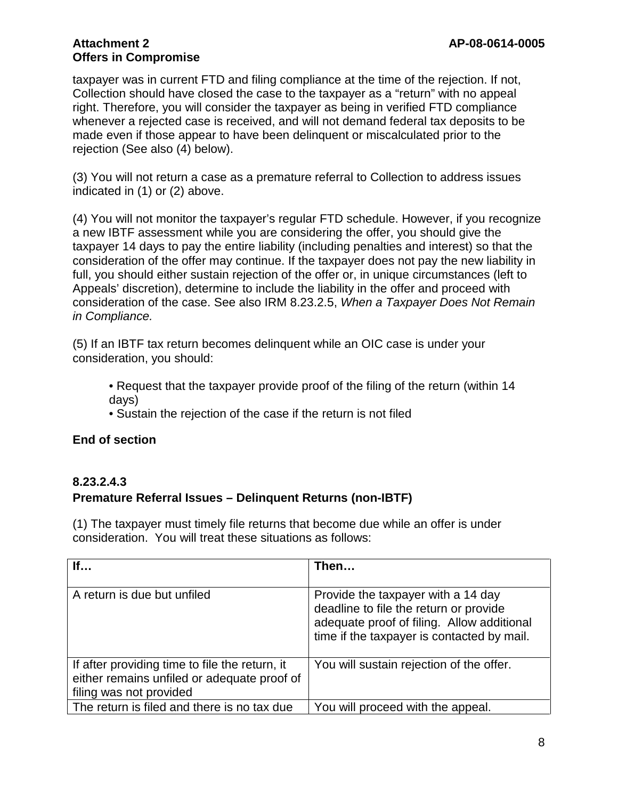taxpayer was in current FTD and filing compliance at the time of the rejection. If not, Collection should have closed the case to the taxpayer as a "return" with no appeal right. Therefore, you will consider the taxpayer as being in verified FTD compliance whenever a rejected case is received, and will not demand federal tax deposits to be made even if those appear to have been delinquent or miscalculated prior to the rejection (See also (4) below).

(3) You will not return a case as a premature referral to Collection to address issues indicated in (1) or (2) above.

(4) You will not monitor the taxpayer's regular FTD schedule. However, if you recognize a new IBTF assessment while you are considering the offer, you should give the taxpayer 14 days to pay the entire liability (including penalties and interest) so that the consideration of the offer may continue. If the taxpayer does not pay the new liability in full, you should either sustain rejection of the offer or, in unique circumstances (left to Appeals' discretion), determine to include the liability in the offer and proceed with consideration of the case. See also IRM 8.23.2.5, *When a Taxpayer Does Not Remain in Compliance.*

(5) If an IBTF tax return becomes delinquent while an OIC case is under your consideration, you should:

• Request that the taxpayer provide proof of the filing of the return (within 14 days)

• Sustain the rejection of the case if the return is not filed

## **End of section**

## **8.23.2.4.3 Premature Referral Issues – Delinquent Returns (non-IBTF)**

(1) The taxpayer must timely file returns that become due while an offer is under consideration. You will treat these situations as follows:

| If                                                                                                                       | Then                                                                                                                                                                     |
|--------------------------------------------------------------------------------------------------------------------------|--------------------------------------------------------------------------------------------------------------------------------------------------------------------------|
| A return is due but unfiled                                                                                              | Provide the taxpayer with a 14 day<br>deadline to file the return or provide<br>adequate proof of filing. Allow additional<br>time if the taxpayer is contacted by mail. |
| If after providing time to file the return, it<br>either remains unfiled or adequate proof of<br>filing was not provided | You will sustain rejection of the offer.                                                                                                                                 |
| The return is filed and there is no tax due                                                                              | You will proceed with the appeal.                                                                                                                                        |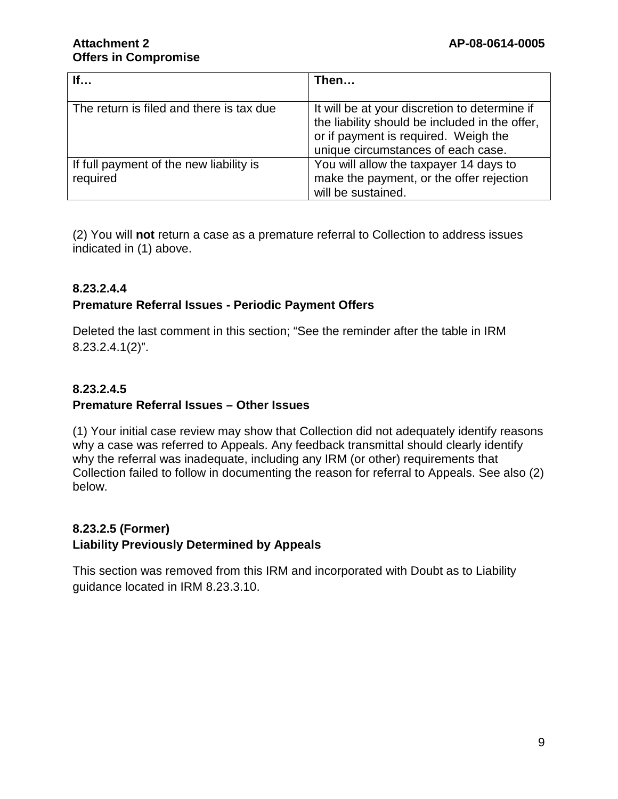| If                                       | Then                                           |
|------------------------------------------|------------------------------------------------|
|                                          |                                                |
| The return is filed and there is tax due | It will be at your discretion to determine if  |
|                                          | the liability should be included in the offer, |
|                                          | or if payment is required. Weigh the           |
|                                          | unique circumstances of each case.             |
| If full payment of the new liability is  | You will allow the taxpayer 14 days to         |
| required                                 | make the payment, or the offer rejection       |
|                                          | will be sustained.                             |

(2) You will **not** return a case as a premature referral to Collection to address issues indicated in (1) above.

# **8.23.2.4.4**

## **Premature Referral Issues - Periodic Payment Offers**

Deleted the last comment in this section; "See the reminder after the table in IRM 8.23.2.4.1(2)".

# **8.23.2.4.5 Premature Referral Issues – Other Issues**

(1) Your initial case review may show that Collection did not adequately identify reasons why a case was referred to Appeals. Any feedback transmittal should clearly identify why the referral was inadequate, including any IRM (or other) requirements that Collection failed to follow in documenting the reason for referral to Appeals. See also (2) below.

## **8.23.2.5 (Former) Liability Previously Determined by Appeals**

This section was removed from this IRM and incorporated with Doubt as to Liability guidance located in IRM 8.23.3.10.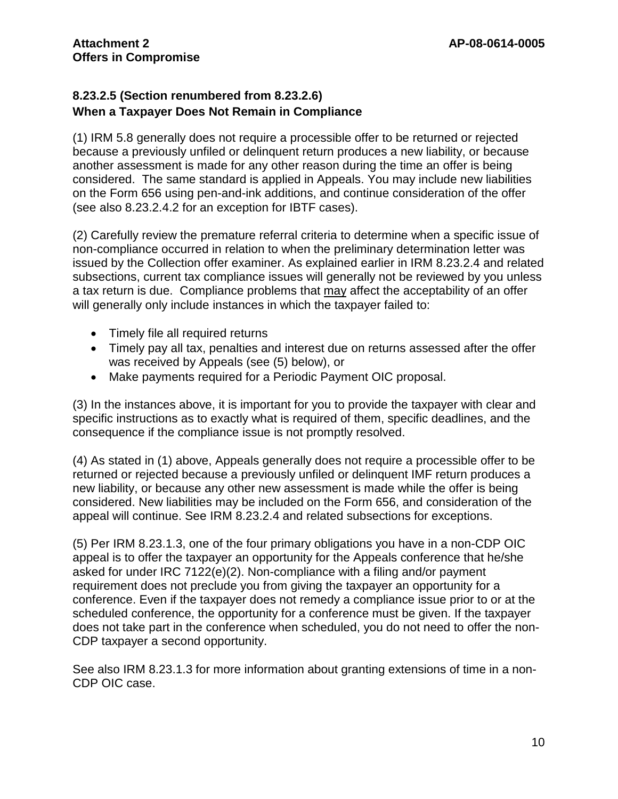## **8.23.2.5 (Section renumbered from 8.23.2.6) When a Taxpayer Does Not Remain in Compliance**

(1) IRM 5.8 generally does not require a processible offer to be returned or rejected because a previously unfiled or delinquent return produces a new liability, or because another assessment is made for any other reason during the time an offer is being considered. The same standard is applied in Appeals. You may include new liabilities on the Form 656 using pen-and-ink additions, and continue consideration of the offer (see also 8.23.2.4.2 for an exception for IBTF cases).

(2) Carefully review the premature referral criteria to determine when a specific issue of non-compliance occurred in relation to when the preliminary determination letter was issued by the Collection offer examiner. As explained earlier in IRM 8.23.2.4 and related subsections, current tax compliance issues will generally not be reviewed by you unless a tax return is due. Compliance problems that may affect the acceptability of an offer will generally only include instances in which the taxpayer failed to:

- Timely file all required returns
- Timely pay all tax, penalties and interest due on returns assessed after the offer was received by Appeals (see (5) below), or
- Make payments required for a Periodic Payment OIC proposal.

(3) In the instances above, it is important for you to provide the taxpayer with clear and specific instructions as to exactly what is required of them, specific deadlines, and the consequence if the compliance issue is not promptly resolved.

(4) As stated in (1) above, Appeals generally does not require a processible offer to be returned or rejected because a previously unfiled or delinquent IMF return produces a new liability, or because any other new assessment is made while the offer is being considered. New liabilities may be included on the Form 656, and consideration of the appeal will continue. See IRM 8.23.2.4 and related subsections for exceptions.

(5) Per IRM 8.23.1.3, one of the four primary obligations you have in a non-CDP OIC appeal is to offer the taxpayer an opportunity for the Appeals conference that he/she asked for under IRC 7122(e)(2). Non-compliance with a filing and/or payment requirement does not preclude you from giving the taxpayer an opportunity for a conference. Even if the taxpayer does not remedy a compliance issue prior to or at the scheduled conference, the opportunity for a conference must be given. If the taxpayer does not take part in the conference when scheduled, you do not need to offer the non-CDP taxpayer a second opportunity.

See also IRM 8.23.1.3 for more information about granting extensions of time in a non-CDP OIC case.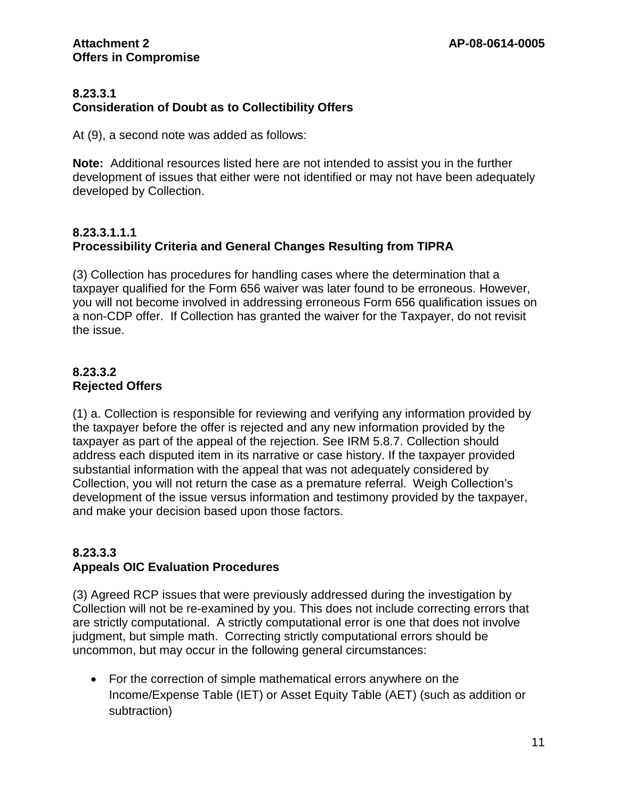#### **8.23.3.1 Consideration of Doubt as to Collectibility Offers**

At (9), a second note was added as follows:

**Note:** Additional resources listed here are not intended to assist you in the further development of issues that either were not identified or may not have been adequately developed by Collection.

## **8.23.3.1.1.1 Processibility Criteria and General Changes Resulting from TIPRA**

(3) Collection has procedures for handling cases where the determination that a taxpayer qualified for the Form 656 waiver was later found to be erroneous. However, you will not become involved in addressing erroneous Form 656 qualification issues on a non-CDP offer. If Collection has granted the waiver for the Taxpayer, do not revisit the issue.

## **8.23.3.2 Rejected Offers**

(1) a. Collection is responsible for reviewing and verifying any information provided by the taxpayer before the offer is rejected and any new information provided by the taxpayer as part of the appeal of the rejection. See IRM 5.8.7. Collection should address each disputed item in its narrative or case history. If the taxpayer provided substantial information with the appeal that was not adequately considered by Collection, you will not return the case as a premature referral. Weigh Collection's development of the issue versus information and testimony provided by the taxpayer, and make your decision based upon those factors.

# **8.23.3.3**

## **Appeals OIC Evaluation Procedures**

(3) Agreed RCP issues that were previously addressed during the investigation by Collection will not be re-examined by you. This does not include correcting errors that are strictly computational. A strictly computational error is one that does not involve judgment, but simple math. Correcting strictly computational errors should be uncommon, but may occur in the following general circumstances:

• For the correction of simple mathematical errors anywhere on the Income/Expense Table (IET) or Asset Equity Table (AET) (such as addition or subtraction)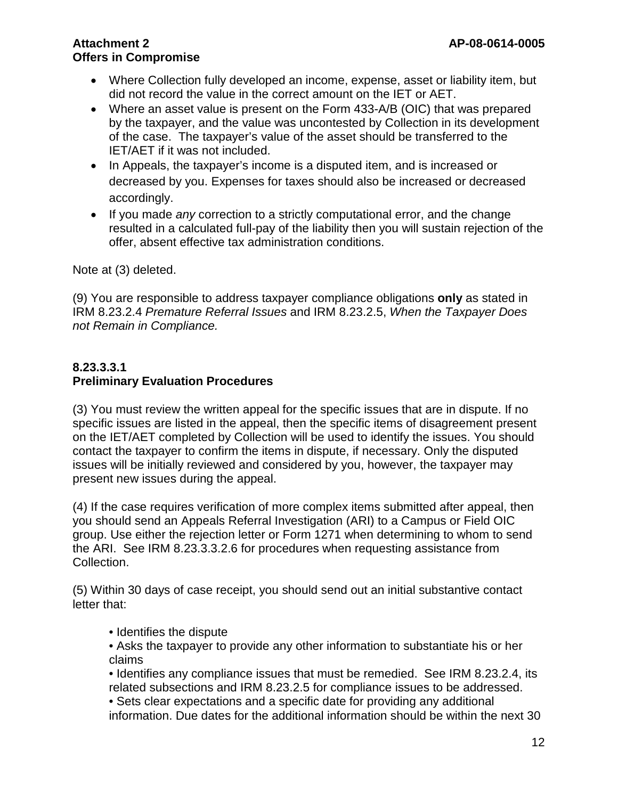- Where Collection fully developed an income, expense, asset or liability item, but did not record the value in the correct amount on the IET or AET.
- Where an asset value is present on the Form 433-A/B (OIC) that was prepared by the taxpayer, and the value was uncontested by Collection in its development of the case. The taxpayer's value of the asset should be transferred to the IET/AET if it was not included.
- In Appeals, the taxpayer's income is a disputed item, and is increased or decreased by you. Expenses for taxes should also be increased or decreased accordingly.
- If you made *any* correction to a strictly computational error, and the change resulted in a calculated full-pay of the liability then you will sustain rejection of the offer, absent effective tax administration conditions.

Note at (3) deleted.

(9) You are responsible to address taxpayer compliance obligations **only** as stated in IRM 8.23.2.4 *Premature Referral Issues* and IRM 8.23.2.5, *When the Taxpayer Does not Remain in Compliance.* 

# **8.23.3.3.1**

# **Preliminary Evaluation Procedures**

(3) You must review the written appeal for the specific issues that are in dispute. If no specific issues are listed in the appeal, then the specific items of disagreement present on the IET/AET completed by Collection will be used to identify the issues. You should contact the taxpayer to confirm the items in dispute, if necessary. Only the disputed issues will be initially reviewed and considered by you, however, the taxpayer may present new issues during the appeal.

(4) If the case requires verification of more complex items submitted after appeal, then you should send an Appeals Referral Investigation (ARI) to a Campus or Field OIC group. Use either the rejection letter or Form 1271 when determining to whom to send the ARI. See IRM 8.23.3.3.2.6 for procedures when requesting assistance from Collection.

(5) Within 30 days of case receipt, you should send out an initial substantive contact letter that:

- Identifies the dispute
- Asks the taxpayer to provide any other information to substantiate his or her claims
- Identifies any compliance issues that must be remedied. See IRM 8.23.2.4, its related subsections and IRM 8.23.2.5 for compliance issues to be addressed.

• Sets clear expectations and a specific date for providing any additional information. Due dates for the additional information should be within the next 30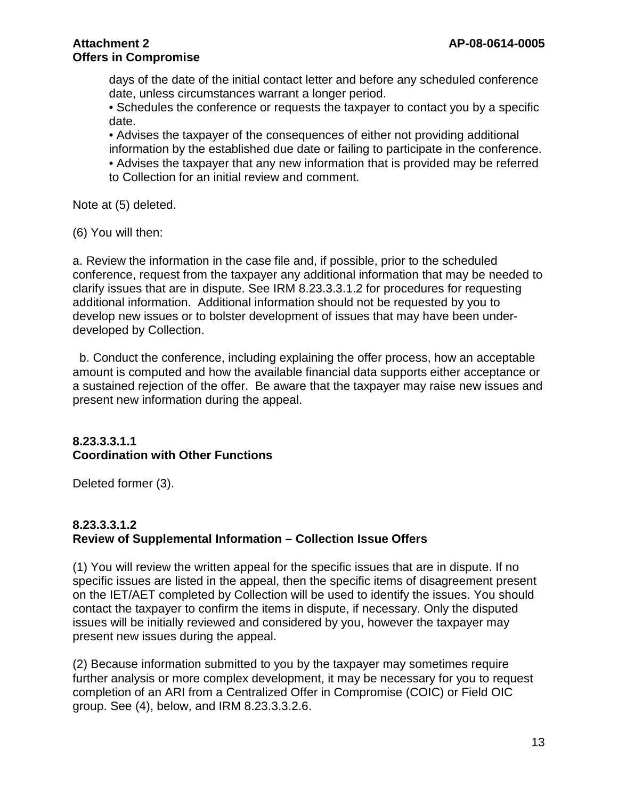days of the date of the initial contact letter and before any scheduled conference date, unless circumstances warrant a longer period.

• Schedules the conference or requests the taxpayer to contact you by a specific date.

• Advises the taxpayer of the consequences of either not providing additional information by the established due date or failing to participate in the conference.

• Advises the taxpayer that any new information that is provided may be referred to Collection for an initial review and comment.

Note at (5) deleted.

(6) You will then:

a. Review the information in the case file and, if possible, prior to the scheduled conference, request from the taxpayer any additional information that may be needed to clarify issues that are in dispute. See IRM 8.23.3.3.1.2 for procedures for requesting additional information. Additional information should not be requested by you to develop new issues or to bolster development of issues that may have been underdeveloped by Collection.

 b. Conduct the conference, including explaining the offer process, how an acceptable amount is computed and how the available financial data supports either acceptance or a sustained rejection of the offer. Be aware that the taxpayer may raise new issues and present new information during the appeal.

## **8.23.3.3.1.1 Coordination with Other Functions**

Deleted former (3).

## **8.23.3.3.1.2 Review of Supplemental Information – Collection Issue Offers**

(1) You will review the written appeal for the specific issues that are in dispute. If no specific issues are listed in the appeal, then the specific items of disagreement present on the IET/AET completed by Collection will be used to identify the issues. You should contact the taxpayer to confirm the items in dispute, if necessary. Only the disputed issues will be initially reviewed and considered by you, however the taxpayer may present new issues during the appeal.

(2) Because information submitted to you by the taxpayer may sometimes require further analysis or more complex development, it may be necessary for you to request completion of an ARI from a Centralized Offer in Compromise (COIC) or Field OIC group. See (4), below, and IRM 8.23.3.3.2.6.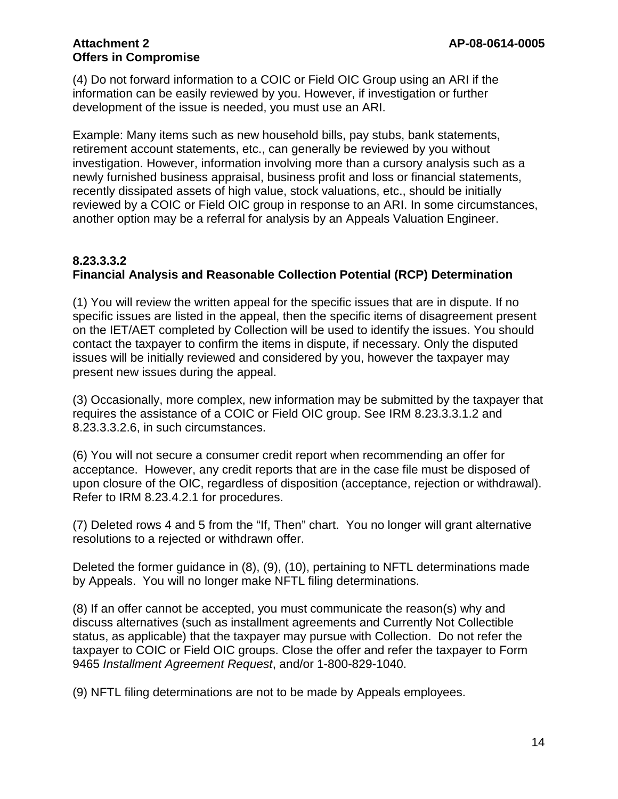(4) Do not forward information to a COIC or Field OIC Group using an ARI if the information can be easily reviewed by you. However, if investigation or further development of the issue is needed, you must use an ARI.

Example: Many items such as new household bills, pay stubs, bank statements, retirement account statements, etc., can generally be reviewed by you without investigation. However, information involving more than a cursory analysis such as a newly furnished business appraisal, business profit and loss or financial statements, recently dissipated assets of high value, stock valuations, etc., should be initially reviewed by a COIC or Field OIC group in response to an ARI. In some circumstances, another option may be a referral for analysis by an Appeals Valuation Engineer.

## **8.23.3.3.2 Financial Analysis and Reasonable Collection Potential (RCP) Determination**

(1) You will review the written appeal for the specific issues that are in dispute. If no specific issues are listed in the appeal, then the specific items of disagreement present on the IET/AET completed by Collection will be used to identify the issues. You should contact the taxpayer to confirm the items in dispute, if necessary. Only the disputed issues will be initially reviewed and considered by you, however the taxpayer may present new issues during the appeal.

(3) Occasionally, more complex, new information may be submitted by the taxpayer that requires the assistance of a COIC or Field OIC group. See IRM 8.23.3.3.1.2 and 8.23.3.3.2.6, in such circumstances.

(6) You will not secure a consumer credit report when recommending an offer for acceptance. However, any credit reports that are in the case file must be disposed of upon closure of the OIC, regardless of disposition (acceptance, rejection or withdrawal). Refer to IRM 8.23.4.2.1 for procedures.

(7) Deleted rows 4 and 5 from the "If, Then" chart. You no longer will grant alternative resolutions to a rejected or withdrawn offer.

Deleted the former guidance in (8), (9), (10), pertaining to NFTL determinations made by Appeals. You will no longer make NFTL filing determinations.

(8) If an offer cannot be accepted, you must communicate the reason(s) why and discuss alternatives (such as installment agreements and Currently Not Collectible status, as applicable) that the taxpayer may pursue with Collection. Do not refer the taxpayer to COIC or Field OIC groups. Close the offer and refer the taxpayer to Form 9465 *Installment Agreement Request*, and/or 1-800-829-1040.

(9) NFTL filing determinations are not to be made by Appeals employees.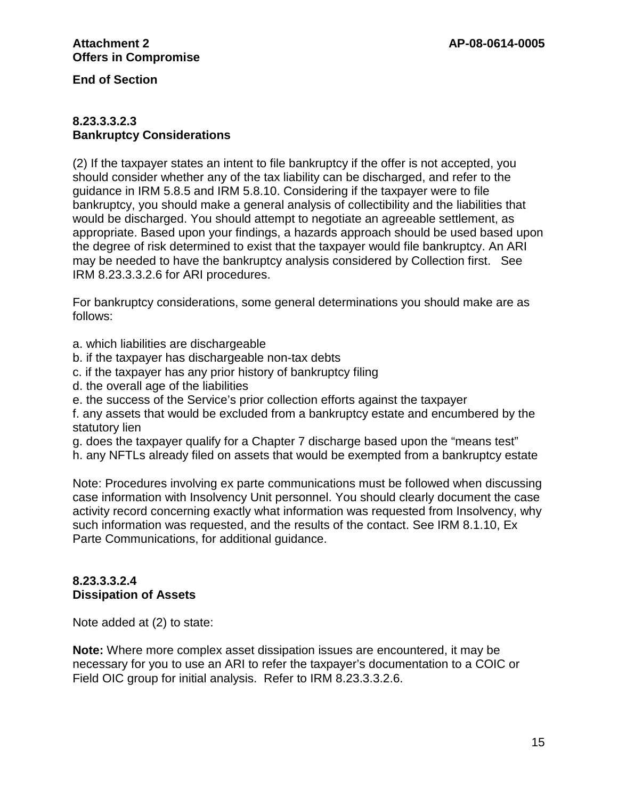**End of Section**

#### **8.23.3.3.2.3 Bankruptcy Considerations**

(2) If the taxpayer states an intent to file bankruptcy if the offer is not accepted, you should consider whether any of the tax liability can be discharged, and refer to the guidance in IRM 5.8.5 and IRM 5.8.10. Considering if the taxpayer were to file bankruptcy, you should make a general analysis of collectibility and the liabilities that would be discharged. You should attempt to negotiate an agreeable settlement, as appropriate. Based upon your findings, a hazards approach should be used based upon the degree of risk determined to exist that the taxpayer would file bankruptcy. An ARI may be needed to have the bankruptcy analysis considered by Collection first. See IRM 8.23.3.3.2.6 for ARI procedures.

For bankruptcy considerations, some general determinations you should make are as follows:

- a. which liabilities are dischargeable
- b. if the taxpayer has dischargeable non-tax debts
- c. if the taxpayer has any prior history of bankruptcy filing
- d. the overall age of the liabilities
- e. the success of the Service's prior collection efforts against the taxpayer

f. any assets that would be excluded from a bankruptcy estate and encumbered by the statutory lien

g. does the taxpayer qualify for a Chapter 7 discharge based upon the "means test"

h. any NFTLs already filed on assets that would be exempted from a bankruptcy estate

Note: Procedures involving ex parte communications must be followed when discussing case information with Insolvency Unit personnel. You should clearly document the case activity record concerning exactly what information was requested from Insolvency, why such information was requested, and the results of the contact. See IRM 8.1.10, Ex Parte Communications, for additional guidance.

## **8.23.3.3.2.4 Dissipation of Assets**

Note added at (2) to state:

**Note:** Where more complex asset dissipation issues are encountered, it may be necessary for you to use an ARI to refer the taxpayer's documentation to a COIC or Field OIC group for initial analysis. Refer to IRM 8.23.3.3.2.6.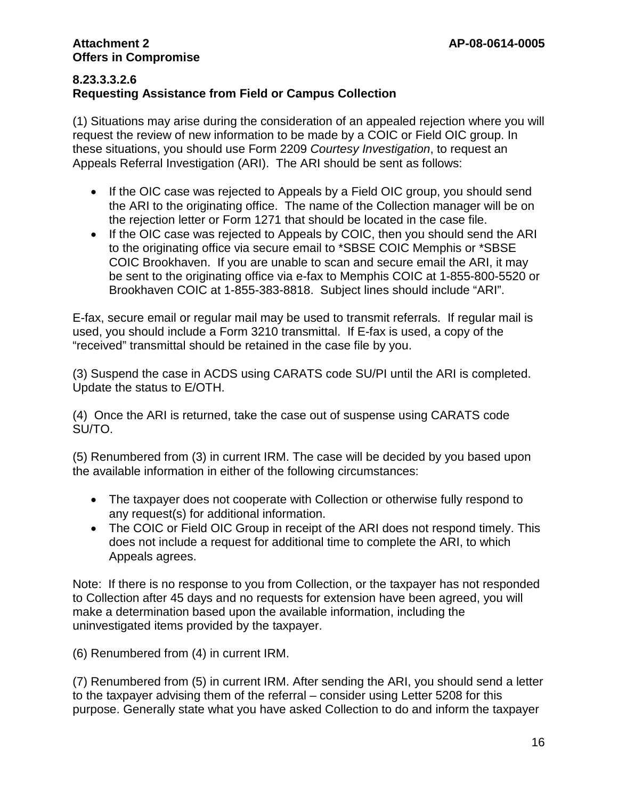## **8.23.3.3.2.6 Requesting Assistance from Field or Campus Collection**

(1) Situations may arise during the consideration of an appealed rejection where you will request the review of new information to be made by a COIC or Field OIC group. In these situations, you should use Form 2209 *Courtesy Investigation*, to request an Appeals Referral Investigation (ARI). The ARI should be sent as follows:

- If the OIC case was rejected to Appeals by a Field OIC group, you should send the ARI to the originating office. The name of the Collection manager will be on the rejection letter or Form 1271 that should be located in the case file.
- If the OIC case was rejected to Appeals by COIC, then you should send the ARI to the originating office via secure email to \*SBSE COIC Memphis or \*SBSE COIC Brookhaven. If you are unable to scan and secure email the ARI, it may be sent to the originating office via e-fax to Memphis COIC at 1-855-800-5520 or Brookhaven COIC at 1-855-383-8818. Subject lines should include "ARI".

E-fax, secure email or regular mail may be used to transmit referrals. If regular mail is used, you should include a Form 3210 transmittal. If E-fax is used, a copy of the "received" transmittal should be retained in the case file by you.

(3) Suspend the case in ACDS using CARATS code SU/PI until the ARI is completed. Update the status to E/OTH.

(4) Once the ARI is returned, take the case out of suspense using CARATS code SU/TO.

(5) Renumbered from (3) in current IRM. The case will be decided by you based upon the available information in either of the following circumstances:

- The taxpayer does not cooperate with Collection or otherwise fully respond to any request(s) for additional information.
- The COIC or Field OIC Group in receipt of the ARI does not respond timely. This does not include a request for additional time to complete the ARI, to which Appeals agrees.

Note: If there is no response to you from Collection, or the taxpayer has not responded to Collection after 45 days and no requests for extension have been agreed, you will make a determination based upon the available information, including the uninvestigated items provided by the taxpayer.

(6) Renumbered from (4) in current IRM.

(7) Renumbered from (5) in current IRM. After sending the ARI, you should send a letter to the taxpayer advising them of the referral – consider using Letter 5208 for this purpose. Generally state what you have asked Collection to do and inform the taxpayer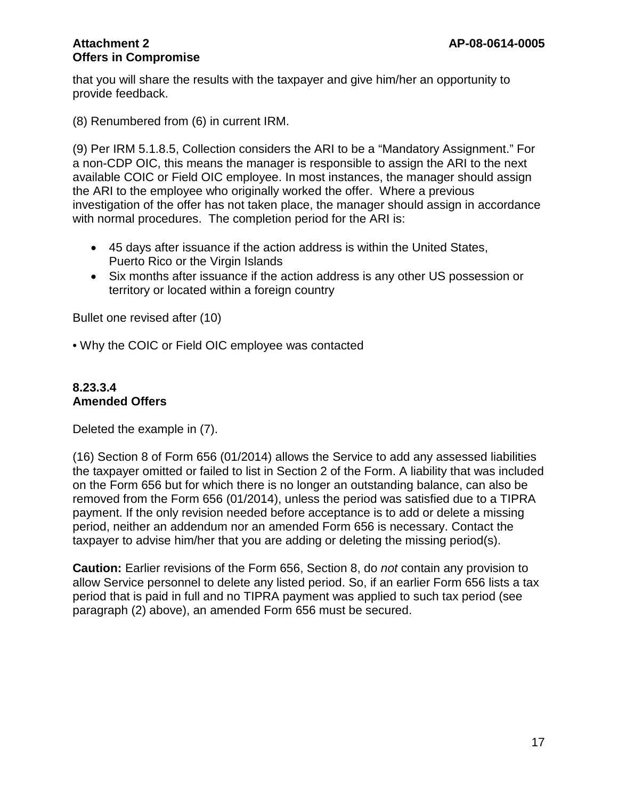that you will share the results with the taxpayer and give him/her an opportunity to provide feedback.

(8) Renumbered from (6) in current IRM.

(9) Per IRM 5.1.8.5, Collection considers the ARI to be a "Mandatory Assignment." For a non-CDP OIC, this means the manager is responsible to assign the ARI to the next available COIC or Field OIC employee. In most instances, the manager should assign the ARI to the employee who originally worked the offer. Where a previous investigation of the offer has not taken place, the manager should assign in accordance with normal procedures. The completion period for the ARI is:

- 45 days after issuance if the action address is within the United States, Puerto Rico or the Virgin Islands
- Six months after issuance if the action address is any other US possession or territory or located within a foreign country

Bullet one revised after (10)

• Why the COIC or Field OIC employee was contacted

#### **8.23.3.4 Amended Offers**

Deleted the example in (7).

(16) Section 8 of Form 656 (01/2014) allows the Service to add any assessed liabilities the taxpayer omitted or failed to list in Section 2 of the Form. A liability that was included on the Form 656 but for which there is no longer an outstanding balance, can also be removed from the Form 656 (01/2014), unless the period was satisfied due to a TIPRA payment. If the only revision needed before acceptance is to add or delete a missing period, neither an addendum nor an amended Form 656 is necessary. Contact the taxpayer to advise him/her that you are adding or deleting the missing period(s).

**Caution:** Earlier revisions of the Form 656, Section 8, do *not* contain any provision to allow Service personnel to delete any listed period. So, if an earlier Form 656 lists a tax period that is paid in full and no TIPRA payment was applied to such tax period (see paragraph (2) above), an amended Form 656 must be secured.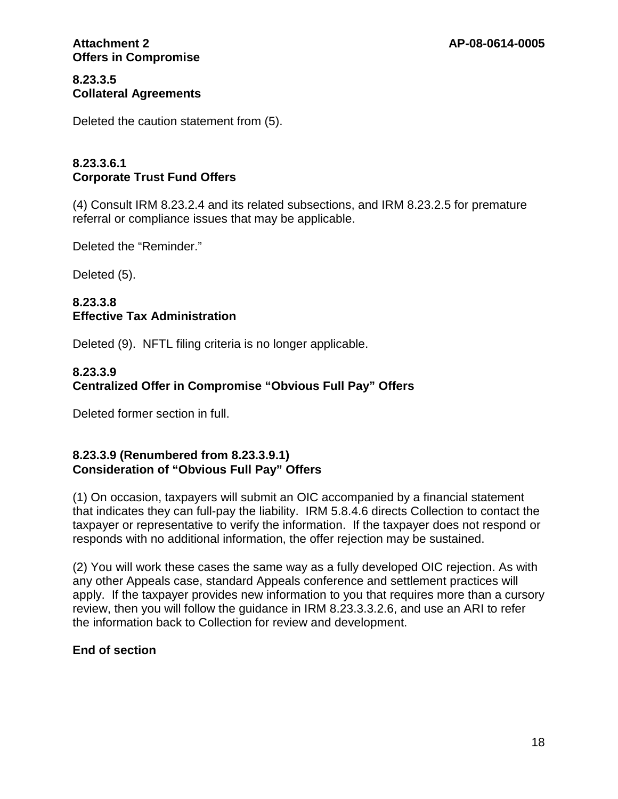## **8.23.3.5 Collateral Agreements**

Deleted the caution statement from (5).

## **8.23.3.6.1 Corporate Trust Fund Offers**

(4) Consult IRM 8.23.2.4 and its related subsections, and IRM 8.23.2.5 for premature referral or compliance issues that may be applicable.

Deleted the "Reminder."

Deleted (5).

## **8.23.3.8 Effective Tax Administration**

Deleted (9). NFTL filing criteria is no longer applicable.

## **8.23.3.9 Centralized Offer in Compromise "Obvious Full Pay" Offers**

Deleted former section in full.

## **8.23.3.9 (Renumbered from 8.23.3.9.1) Consideration of "Obvious Full Pay" Offers**

(1) On occasion, taxpayers will submit an OIC accompanied by a financial statement that indicates they can full-pay the liability. IRM 5.8.4.6 directs Collection to contact the taxpayer or representative to verify the information. If the taxpayer does not respond or responds with no additional information, the offer rejection may be sustained.

(2) You will work these cases the same way as a fully developed OIC rejection. As with any other Appeals case, standard Appeals conference and settlement practices will apply. If the taxpayer provides new information to you that requires more than a cursory review, then you will follow the guidance in IRM 8.23.3.3.2.6, and use an ARI to refer the information back to Collection for review and development.

## **End of section**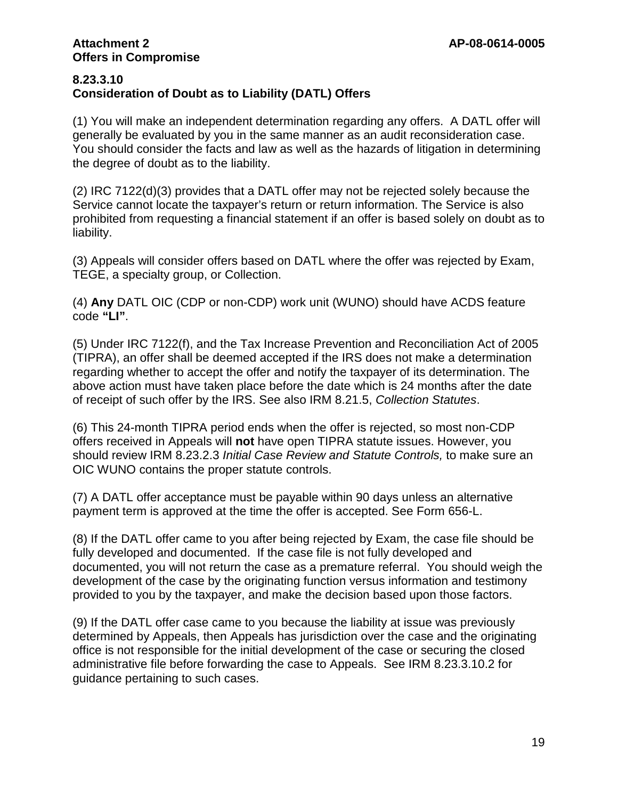#### **8.23.3.10 Consideration of Doubt as to Liability (DATL) Offers**

(1) You will make an independent determination regarding any offers. A DATL offer will generally be evaluated by you in the same manner as an audit reconsideration case. You should consider the facts and law as well as the hazards of litigation in determining the degree of doubt as to the liability.

(2) IRC 7122(d)(3) provides that a DATL offer may not be rejected solely because the Service cannot locate the taxpayer's return or return information. The Service is also prohibited from requesting a financial statement if an offer is based solely on doubt as to liability.

(3) Appeals will consider offers based on DATL where the offer was rejected by Exam, TEGE, a specialty group, or Collection.

(4) **Any** DATL OIC (CDP or non-CDP) work unit (WUNO) should have ACDS feature code **"LI"**.

(5) Under IRC 7122(f), and the Tax Increase Prevention and Reconciliation Act of 2005 (TIPRA), an offer shall be deemed accepted if the IRS does not make a determination regarding whether to accept the offer and notify the taxpayer of its determination. The above action must have taken place before the date which is 24 months after the date of receipt of such offer by the IRS. See also IRM 8.21.5, *Collection Statutes*.

(6) This 24-month TIPRA period ends when the offer is rejected, so most non-CDP offers received in Appeals will **not** have open TIPRA statute issues. However, you should review IRM 8.23.2.3 *Initial Case Review and Statute Controls,* to make sure an OIC WUNO contains the proper statute controls.

(7) A DATL offer acceptance must be payable within 90 days unless an alternative payment term is approved at the time the offer is accepted. See Form 656-L.

(8) If the DATL offer came to you after being rejected by Exam, the case file should be fully developed and documented. If the case file is not fully developed and documented, you will not return the case as a premature referral. You should weigh the development of the case by the originating function versus information and testimony provided to you by the taxpayer, and make the decision based upon those factors.

(9) If the DATL offer case came to you because the liability at issue was previously determined by Appeals, then Appeals has jurisdiction over the case and the originating office is not responsible for the initial development of the case or securing the closed administrative file before forwarding the case to Appeals. See IRM 8.23.3.10.2 for guidance pertaining to such cases.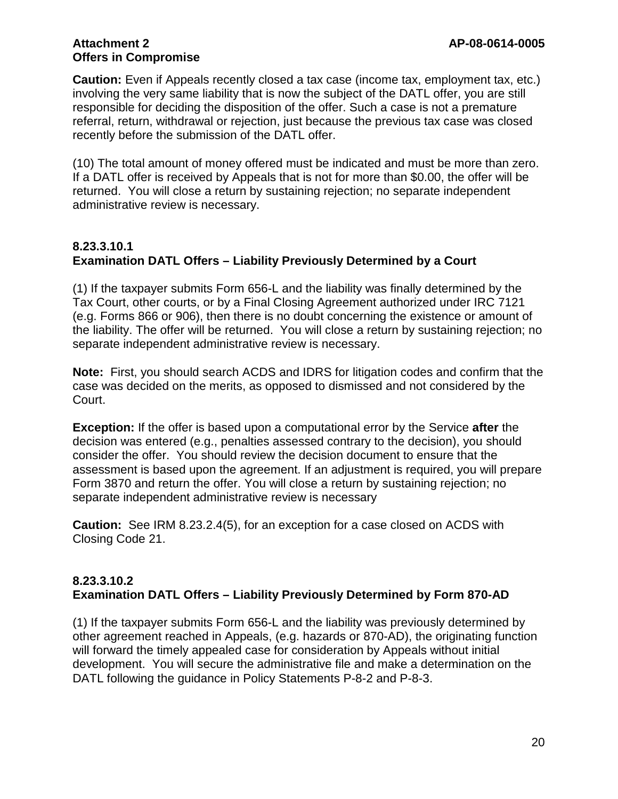**Caution:** Even if Appeals recently closed a tax case (income tax, employment tax, etc.) involving the very same liability that is now the subject of the DATL offer, you are still responsible for deciding the disposition of the offer. Such a case is not a premature referral, return, withdrawal or rejection, just because the previous tax case was closed recently before the submission of the DATL offer.

(10) The total amount of money offered must be indicated and must be more than zero. If a DATL offer is received by Appeals that is not for more than \$0.00, the offer will be returned. You will close a return by sustaining rejection; no separate independent administrative review is necessary.

## **8.23.3.10.1 Examination DATL Offers – Liability Previously Determined by a Court**

(1) If the taxpayer submits Form 656-L and the liability was finally determined by the Tax Court, other courts, or by a Final Closing Agreement authorized under IRC 7121 (e.g. Forms 866 or 906), then there is no doubt concerning the existence or amount of the liability. The offer will be returned. You will close a return by sustaining rejection; no separate independent administrative review is necessary.

**Note:** First, you should search ACDS and IDRS for litigation codes and confirm that the case was decided on the merits, as opposed to dismissed and not considered by the Court.

**Exception:** If the offer is based upon a computational error by the Service **after** the decision was entered (e.g., penalties assessed contrary to the decision), you should consider the offer. You should review the decision document to ensure that the assessment is based upon the agreement. If an adjustment is required, you will prepare Form 3870 and return the offer. You will close a return by sustaining rejection; no separate independent administrative review is necessary

**Caution:** See IRM 8.23.2.4(5), for an exception for a case closed on ACDS with Closing Code 21.

## **8.23.3.10.2 Examination DATL Offers – Liability Previously Determined by Form 870-AD**

(1) If the taxpayer submits Form 656-L and the liability was previously determined by other agreement reached in Appeals, (e.g. hazards or 870-AD), the originating function will forward the timely appealed case for consideration by Appeals without initial development. You will secure the administrative file and make a determination on the DATL following the guidance in Policy Statements P-8-2 and P-8-3.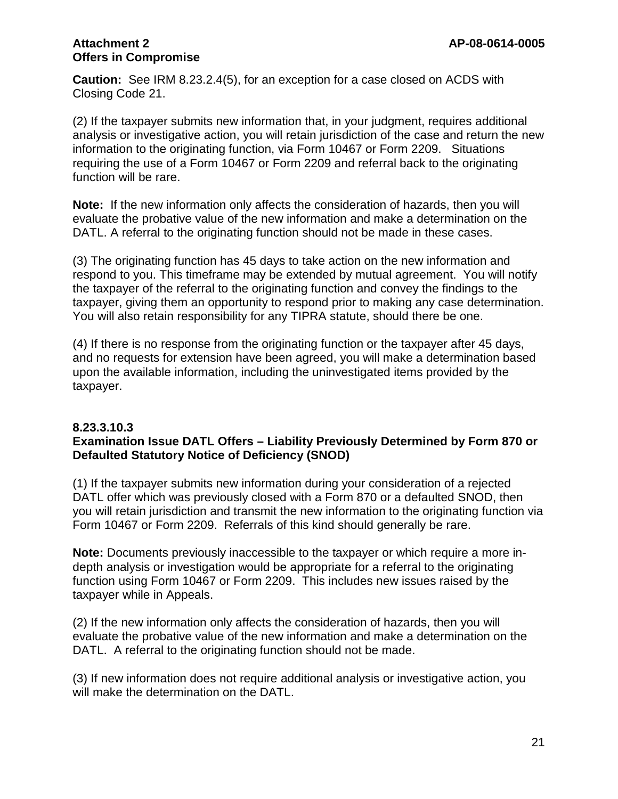**Caution:** See IRM 8.23.2.4(5), for an exception for a case closed on ACDS with Closing Code 21.

(2) If the taxpayer submits new information that, in your judgment, requires additional analysis or investigative action, you will retain jurisdiction of the case and return the new information to the originating function, via Form 10467 or Form 2209. Situations requiring the use of a Form 10467 or Form 2209 and referral back to the originating function will be rare.

**Note:** If the new information only affects the consideration of hazards, then you will evaluate the probative value of the new information and make a determination on the DATL. A referral to the originating function should not be made in these cases.

(3) The originating function has 45 days to take action on the new information and respond to you. This timeframe may be extended by mutual agreement. You will notify the taxpayer of the referral to the originating function and convey the findings to the taxpayer, giving them an opportunity to respond prior to making any case determination. You will also retain responsibility for any TIPRA statute, should there be one.

(4) If there is no response from the originating function or the taxpayer after 45 days, and no requests for extension have been agreed, you will make a determination based upon the available information, including the uninvestigated items provided by the taxpayer.

#### **8.23.3.10.3 Examination Issue DATL Offers – Liability Previously Determined by Form 870 or Defaulted Statutory Notice of Deficiency (SNOD)**

(1) If the taxpayer submits new information during your consideration of a rejected DATL offer which was previously closed with a Form 870 or a defaulted SNOD, then you will retain jurisdiction and transmit the new information to the originating function via Form 10467 or Form 2209. Referrals of this kind should generally be rare.

**Note:** Documents previously inaccessible to the taxpayer or which require a more indepth analysis or investigation would be appropriate for a referral to the originating function using Form 10467 or Form 2209. This includes new issues raised by the taxpayer while in Appeals.

(2) If the new information only affects the consideration of hazards, then you will evaluate the probative value of the new information and make a determination on the DATL. A referral to the originating function should not be made.

(3) If new information does not require additional analysis or investigative action, you will make the determination on the DATL.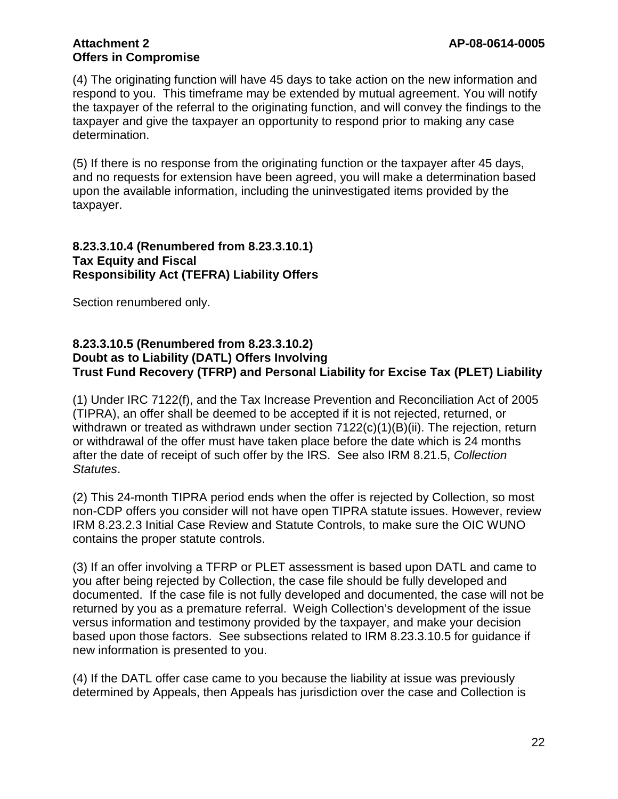(4) The originating function will have 45 days to take action on the new information and respond to you. This timeframe may be extended by mutual agreement. You will notify the taxpayer of the referral to the originating function, and will convey the findings to the taxpayer and give the taxpayer an opportunity to respond prior to making any case determination.

(5) If there is no response from the originating function or the taxpayer after 45 days, and no requests for extension have been agreed, you will make a determination based upon the available information, including the uninvestigated items provided by the taxpayer.

#### **8.23.3.10.4 (Renumbered from 8.23.3.10.1) Tax Equity and Fiscal Responsibility Act (TEFRA) Liability Offers**

Section renumbered only.

## **8.23.3.10.5 (Renumbered from 8.23.3.10.2) Doubt as to Liability (DATL) Offers Involving Trust Fund Recovery (TFRP) and Personal Liability for Excise Tax (PLET) Liability**

(1) Under IRC 7122(f), and the Tax Increase Prevention and Reconciliation Act of 2005 (TIPRA), an offer shall be deemed to be accepted if it is not rejected, returned, or withdrawn or treated as withdrawn under section  $7122(c)(1)(B)(ii)$ . The rejection, return or withdrawal of the offer must have taken place before the date which is 24 months after the date of receipt of such offer by the IRS. See also IRM 8.21.5, *Collection Statutes*.

(2) This 24-month TIPRA period ends when the offer is rejected by Collection, so most non-CDP offers you consider will not have open TIPRA statute issues. However, review IRM 8.23.2.3 Initial Case Review and Statute Controls, to make sure the OIC WUNO contains the proper statute controls.

(3) If an offer involving a TFRP or PLET assessment is based upon DATL and came to you after being rejected by Collection, the case file should be fully developed and documented. If the case file is not fully developed and documented, the case will not be returned by you as a premature referral. Weigh Collection's development of the issue versus information and testimony provided by the taxpayer, and make your decision based upon those factors. See subsections related to IRM 8.23.3.10.5 for guidance if new information is presented to you.

(4) If the DATL offer case came to you because the liability at issue was previously determined by Appeals, then Appeals has jurisdiction over the case and Collection is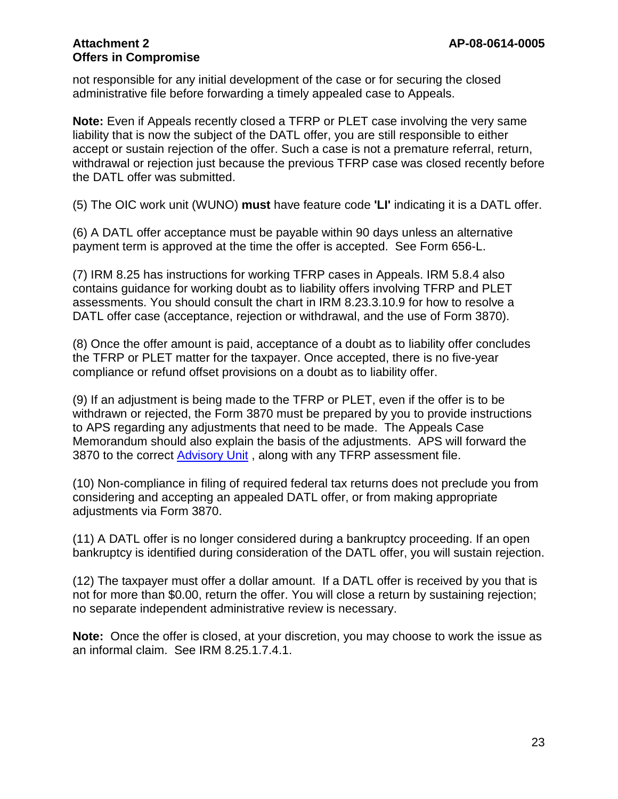not responsible for any initial development of the case or for securing the closed administrative file before forwarding a timely appealed case to Appeals.

**Note:** Even if Appeals recently closed a TFRP or PLET case involving the very same liability that is now the subject of the DATL offer, you are still responsible to either accept or sustain rejection of the offer. Such a case is not a premature referral, return, withdrawal or rejection just because the previous TFRP case was closed recently before the DATL offer was submitted.

(5) The OIC work unit (WUNO) **must** have feature code **'LI'** indicating it is a DATL offer.

(6) A DATL offer acceptance must be payable within 90 days unless an alternative payment term is approved at the time the offer is accepted. See Form 656-L.

(7) IRM 8.25 has instructions for working TFRP cases in Appeals. IRM 5.8.4 also contains guidance for working doubt as to liability offers involving TFRP and PLET assessments. You should consult the chart in IRM 8.23.3.10.9 for how to resolve a DATL offer case (acceptance, rejection or withdrawal, and the use of Form 3870).

(8) Once the offer amount is paid, acceptance of a doubt as to liability offer concludes the TFRP or PLET matter for the taxpayer. Once accepted, there is no five-year compliance or refund offset provisions on a doubt as to liability offer.

(9) If an adjustment is being made to the TFRP or PLET, even if the offer is to be withdrawn or rejected, the Form 3870 must be prepared by you to provide instructions to APS regarding any adjustments that need to be made. The Appeals Case Memorandum should also explain the basis of the adjustments. APS will forward the 3870 to the correct [Advisory Unit](http://mysbse.web.irs.gov/AboutSBSE/Collection/fieldcoll/aiq/aiqorg/contacts/19258.aspx), along with any TFRP assessment file.

(10) Non-compliance in filing of required federal tax returns does not preclude you from considering and accepting an appealed DATL offer, or from making appropriate adjustments via Form 3870.

(11) A DATL offer is no longer considered during a bankruptcy proceeding. If an open bankruptcy is identified during consideration of the DATL offer, you will sustain rejection.

(12) The taxpayer must offer a dollar amount. If a DATL offer is received by you that is not for more than \$0.00, return the offer. You will close a return by sustaining rejection; no separate independent administrative review is necessary.

**Note:** Once the offer is closed, at your discretion, you may choose to work the issue as an informal claim. See IRM 8.25.1.7.4.1.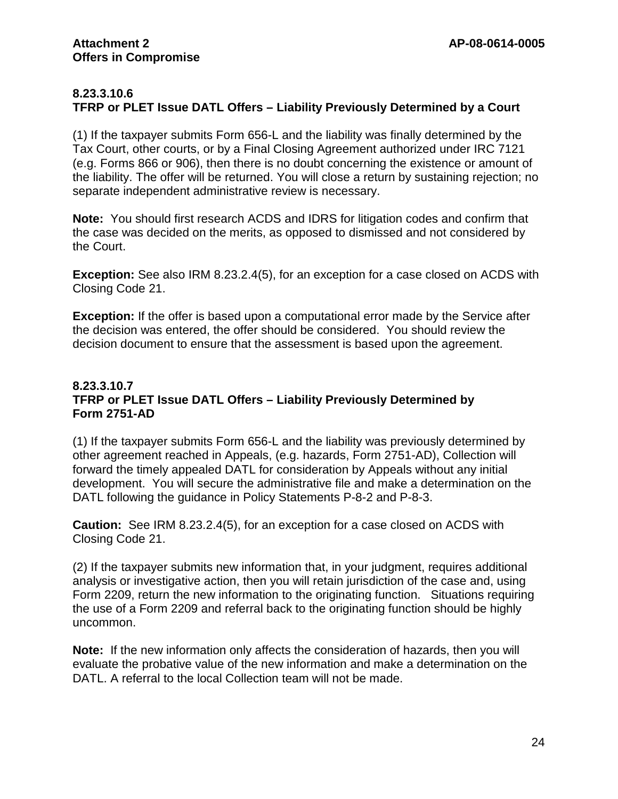## **8.23.3.10.6 TFRP or PLET Issue DATL Offers – Liability Previously Determined by a Court**

(1) If the taxpayer submits Form 656-L and the liability was finally determined by the Tax Court, other courts, or by a Final Closing Agreement authorized under IRC 7121 (e.g. Forms 866 or 906), then there is no doubt concerning the existence or amount of the liability. The offer will be returned. You will close a return by sustaining rejection; no separate independent administrative review is necessary.

**Note:** You should first research ACDS and IDRS for litigation codes and confirm that the case was decided on the merits, as opposed to dismissed and not considered by the Court.

**Exception:** See also IRM 8.23.2.4(5), for an exception for a case closed on ACDS with Closing Code 21.

**Exception:** If the offer is based upon a computational error made by the Service after the decision was entered, the offer should be considered. You should review the decision document to ensure that the assessment is based upon the agreement.

## **8.23.3.10.7 TFRP or PLET Issue DATL Offers – Liability Previously Determined by Form 2751-AD**

(1) If the taxpayer submits Form 656-L and the liability was previously determined by other agreement reached in Appeals, (e.g. hazards, Form 2751-AD), Collection will forward the timely appealed DATL for consideration by Appeals without any initial development. You will secure the administrative file and make a determination on the DATL following the guidance in Policy Statements P-8-2 and P-8-3.

**Caution:** See IRM 8.23.2.4(5), for an exception for a case closed on ACDS with Closing Code 21.

(2) If the taxpayer submits new information that, in your judgment, requires additional analysis or investigative action, then you will retain jurisdiction of the case and, using Form 2209, return the new information to the originating function. Situations requiring the use of a Form 2209 and referral back to the originating function should be highly uncommon.

**Note:** If the new information only affects the consideration of hazards, then you will evaluate the probative value of the new information and make a determination on the DATL. A referral to the local Collection team will not be made.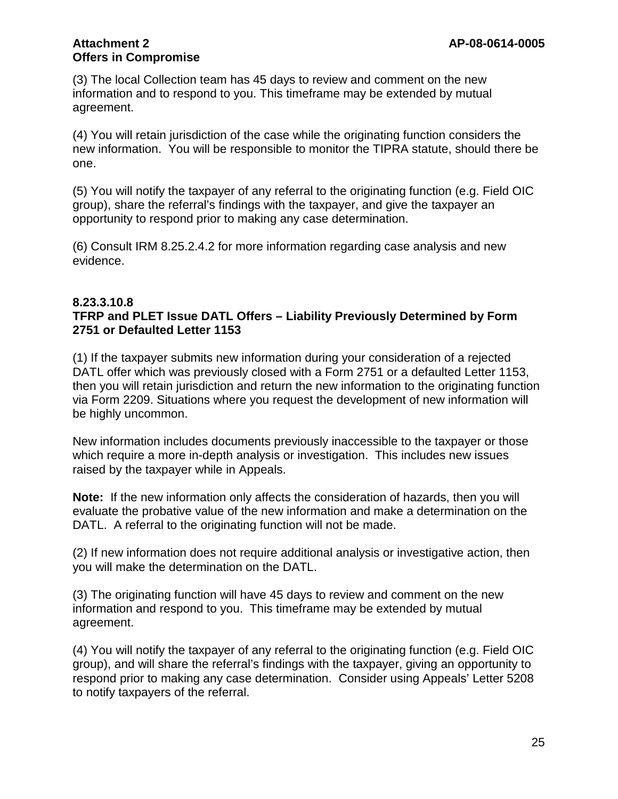(3) The local Collection team has 45 days to review and comment on the new information and to respond to you. This timeframe may be extended by mutual agreement.

(4) You will retain jurisdiction of the case while the originating function considers the new information. You will be responsible to monitor the TIPRA statute, should there be one.

(5) You will notify the taxpayer of any referral to the originating function (e.g. Field OIC group), share the referral's findings with the taxpayer, and give the taxpayer an opportunity to respond prior to making any case determination.

(6) Consult IRM 8.25.2.4.2 for more information regarding case analysis and new evidence.

#### **8.23.3.10.8**

## **TFRP and PLET Issue DATL Offers – Liability Previously Determined by Form 2751 or Defaulted Letter 1153**

(1) If the taxpayer submits new information during your consideration of a rejected DATL offer which was previously closed with a Form 2751 or a defaulted Letter 1153, then you will retain jurisdiction and return the new information to the originating function via Form 2209. Situations where you request the development of new information will be highly uncommon.

New information includes documents previously inaccessible to the taxpayer or those which require a more in-depth analysis or investigation. This includes new issues raised by the taxpayer while in Appeals.

**Note:** If the new information only affects the consideration of hazards, then you will evaluate the probative value of the new information and make a determination on the DATL. A referral to the originating function will not be made.

(2) If new information does not require additional analysis or investigative action, then you will make the determination on the DATL.

(3) The originating function will have 45 days to review and comment on the new information and respond to you. This timeframe may be extended by mutual agreement.

(4) You will notify the taxpayer of any referral to the originating function (e.g. Field OIC group), and will share the referral's findings with the taxpayer, giving an opportunity to respond prior to making any case determination. Consider using Appeals' Letter 5208 to notify taxpayers of the referral.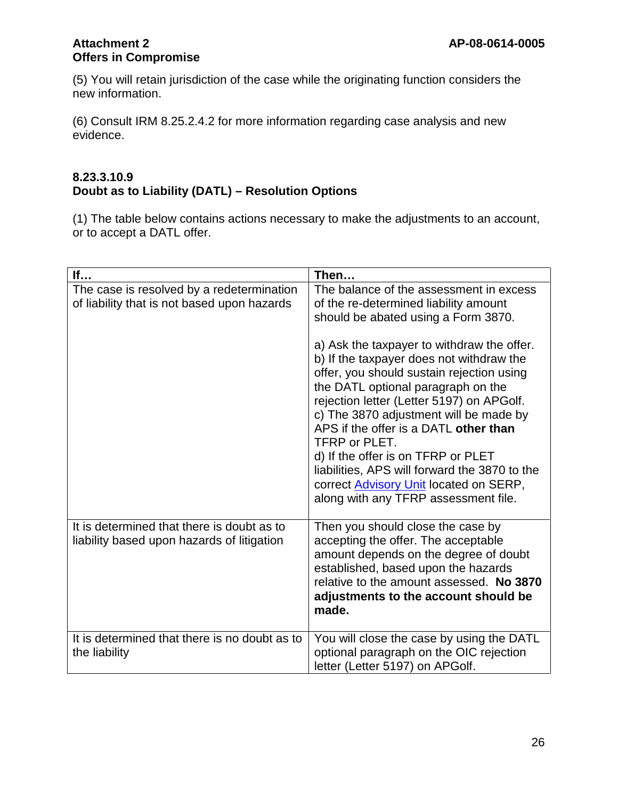(5) You will retain jurisdiction of the case while the originating function considers the new information.

(6) Consult IRM 8.25.2.4.2 for more information regarding case analysis and new evidence.

#### **8.23.3.10.9 Doubt as to Liability (DATL) – Resolution Options**

(1) The table below contains actions necessary to make the adjustments to an account, or to accept a DATL offer.

| If                                                                                       | Then                                                                                                                                                                                                                                                                                                                                                                                                                                                                                                       |
|------------------------------------------------------------------------------------------|------------------------------------------------------------------------------------------------------------------------------------------------------------------------------------------------------------------------------------------------------------------------------------------------------------------------------------------------------------------------------------------------------------------------------------------------------------------------------------------------------------|
| The case is resolved by a redetermination<br>of liability that is not based upon hazards | The balance of the assessment in excess<br>of the re-determined liability amount<br>should be abated using a Form 3870.                                                                                                                                                                                                                                                                                                                                                                                    |
|                                                                                          | a) Ask the taxpayer to withdraw the offer.<br>b) If the taxpayer does not withdraw the<br>offer, you should sustain rejection using<br>the DATL optional paragraph on the<br>rejection letter (Letter 5197) on APGolf.<br>c) The 3870 adjustment will be made by<br>APS if the offer is a DATL other than<br>TFRP or PLET.<br>d) If the offer is on TFRP or PLET<br>liabilities, APS will forward the 3870 to the<br>correct <b>Advisory Unit</b> located on SERP,<br>along with any TFRP assessment file. |
| It is determined that there is doubt as to<br>liability based upon hazards of litigation | Then you should close the case by<br>accepting the offer. The acceptable<br>amount depends on the degree of doubt<br>established, based upon the hazards<br>relative to the amount assessed. No 3870<br>adjustments to the account should be<br>made.                                                                                                                                                                                                                                                      |
| It is determined that there is no doubt as to<br>the liability                           | You will close the case by using the DATL<br>optional paragraph on the OIC rejection<br>letter (Letter 5197) on APGolf.                                                                                                                                                                                                                                                                                                                                                                                    |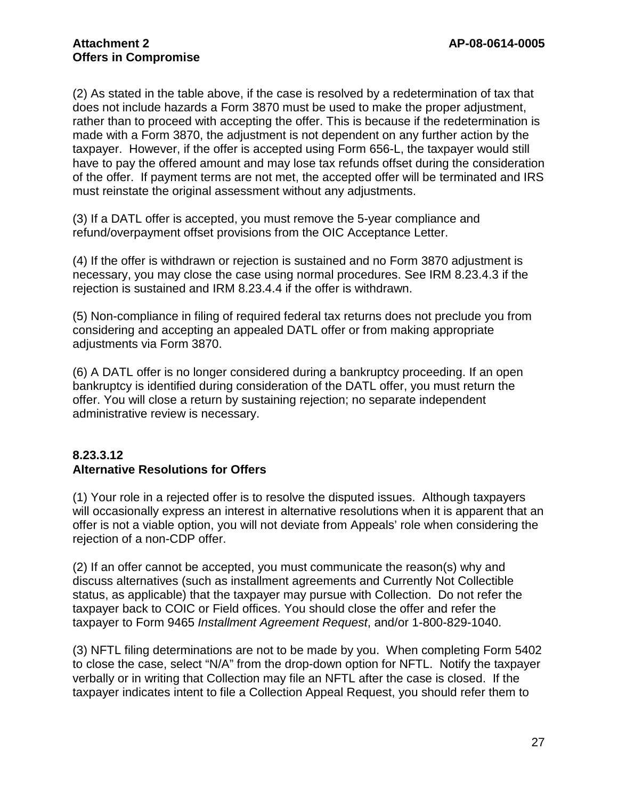(2) As stated in the table above, if the case is resolved by a redetermination of tax that does not include hazards a Form 3870 must be used to make the proper adjustment, rather than to proceed with accepting the offer. This is because if the redetermination is made with a Form 3870, the adjustment is not dependent on any further action by the taxpayer. However, if the offer is accepted using Form 656-L, the taxpayer would still have to pay the offered amount and may lose tax refunds offset during the consideration of the offer. If payment terms are not met, the accepted offer will be terminated and IRS must reinstate the original assessment without any adjustments.

(3) If a DATL offer is accepted, you must remove the 5-year compliance and refund/overpayment offset provisions from the OIC Acceptance Letter.

(4) If the offer is withdrawn or rejection is sustained and no Form 3870 adjustment is necessary, you may close the case using normal procedures. See IRM 8.23.4.3 if the rejection is sustained and IRM 8.23.4.4 if the offer is withdrawn.

(5) Non-compliance in filing of required federal tax returns does not preclude you from considering and accepting an appealed DATL offer or from making appropriate adjustments via Form 3870.

(6) A DATL offer is no longer considered during a bankruptcy proceeding. If an open bankruptcy is identified during consideration of the DATL offer, you must return the offer. You will close a return by sustaining rejection; no separate independent administrative review is necessary.

## **8.23.3.12 Alternative Resolutions for Offers**

(1) Your role in a rejected offer is to resolve the disputed issues. Although taxpayers will occasionally express an interest in alternative resolutions when it is apparent that an offer is not a viable option, you will not deviate from Appeals' role when considering the rejection of a non-CDP offer.

(2) If an offer cannot be accepted, you must communicate the reason(s) why and discuss alternatives (such as installment agreements and Currently Not Collectible status, as applicable) that the taxpayer may pursue with Collection. Do not refer the taxpayer back to COIC or Field offices. You should close the offer and refer the taxpayer to Form 9465 *Installment Agreement Request*, and/or 1-800-829-1040.

(3) NFTL filing determinations are not to be made by you. When completing Form 5402 to close the case, select "N/A" from the drop-down option for NFTL. Notify the taxpayer verbally or in writing that Collection may file an NFTL after the case is closed. If the taxpayer indicates intent to file a Collection Appeal Request, you should refer them to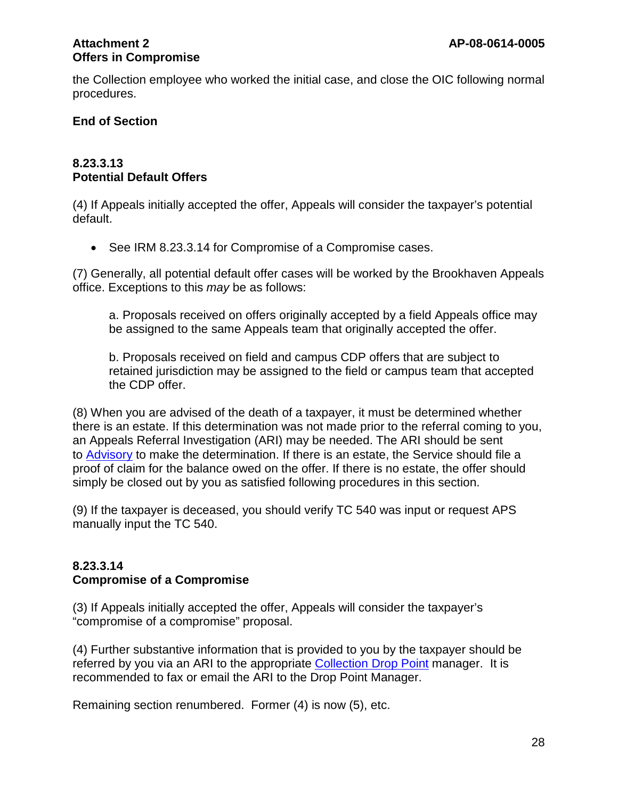the Collection employee who worked the initial case, and close the OIC following normal procedures.

## **End of Section**

#### **8.23.3.13 Potential Default Offers**

(4) If Appeals initially accepted the offer, Appeals will consider the taxpayer's potential default.

• See IRM 8.23.3.14 for Compromise of a Compromise cases.

(7) Generally, all potential default offer cases will be worked by the Brookhaven Appeals office. Exceptions to this *may* be as follows:

a. Proposals received on offers originally accepted by a field Appeals office may be assigned to the same Appeals team that originally accepted the offer.

b. Proposals received on field and campus CDP offers that are subject to retained jurisdiction may be assigned to the field or campus team that accepted the CDP offer.

(8) When you are advised of the death of a taxpayer, it must be determined whether there is an estate. If this determination was not made prior to the referral coming to you, an Appeals Referral Investigation (ARI) may be needed. The ARI should be sent to [Advisory](http://mysbse.web.irs.gov/AboutSBSE/Collection/fieldcoll/aiq/aiqorg/contacts/19258.aspx) to make the determination. If there is an estate, the Service should file a proof of claim for the balance owed on the offer. If there is no estate, the offer should simply be closed out by you as satisfied following procedures in this section.

(9) If the taxpayer is deceased, you should verify TC 540 was input or request APS manually input the TC 540.

#### **8.23.3.14 Compromise of a Compromise**

(3) If Appeals initially accepted the offer, Appeals will consider the taxpayer's "compromise of a compromise" proposal.

(4) Further substantive information that is provided to you by the taxpayer should be referred by you via an ARI to the appropriate [Collection Drop Point](http://mysbse.web.irs.gov/Collection/toolsprocesses/CaseRes/oic/contacts/16146.aspx) manager. It is recommended to fax or email the ARI to the Drop Point Manager.

Remaining section renumbered. Former (4) is now (5), etc.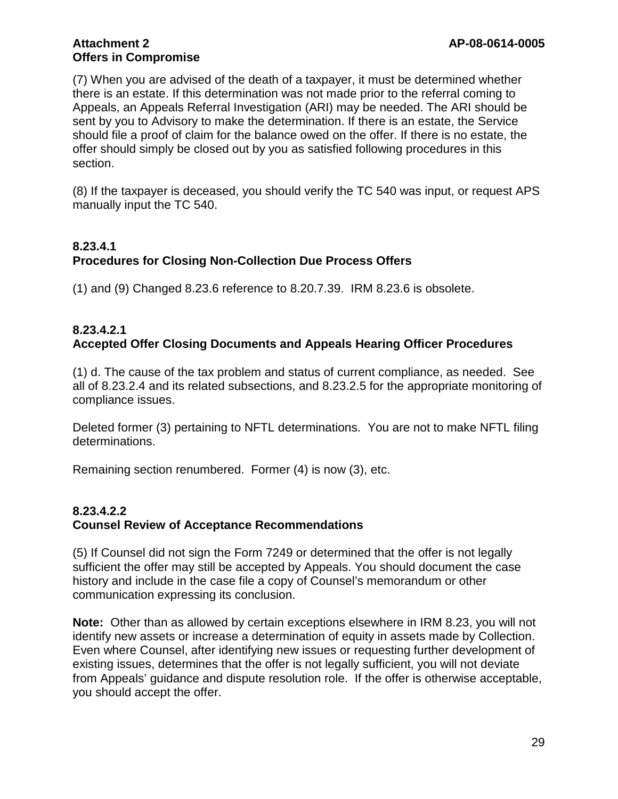(7) When you are advised of the death of a taxpayer, it must be determined whether there is an estate. If this determination was not made prior to the referral coming to Appeals, an Appeals Referral Investigation (ARI) may be needed. The ARI should be sent by you to Advisory to make the determination. If there is an estate, the Service should file a proof of claim for the balance owed on the offer. If there is no estate, the offer should simply be closed out by you as satisfied following procedures in this section.

(8) If the taxpayer is deceased, you should verify the TC 540 was input, or request APS manually input the TC 540.

## **8.23.4.1 Procedures for Closing Non-Collection Due Process Offers**

(1) and (9) Changed 8.23.6 reference to 8.20.7.39. IRM 8.23.6 is obsolete.

## **8.23.4.2.1 Accepted Offer Closing Documents and Appeals Hearing Officer Procedures**

(1) d. The cause of the tax problem and status of current compliance, as needed. See all of 8.23.2.4 and its related subsections, and 8.23.2.5 for the appropriate monitoring of compliance issues.

Deleted former (3) pertaining to NFTL determinations. You are not to make NFTL filing determinations.

Remaining section renumbered. Former (4) is now (3), etc.

## **8.23.4.2.2 Counsel Review of Acceptance Recommendations**

(5) If Counsel did not sign the Form 7249 or determined that the offer is not legally sufficient the offer may still be accepted by Appeals. You should document the case history and include in the case file a copy of Counsel's memorandum or other communication expressing its conclusion.

**Note:** Other than as allowed by certain exceptions elsewhere in IRM 8.23, you will not identify new assets or increase a determination of equity in assets made by Collection. Even where Counsel, after identifying new issues or requesting further development of existing issues, determines that the offer is not legally sufficient, you will not deviate from Appeals' guidance and dispute resolution role. If the offer is otherwise acceptable, you should accept the offer.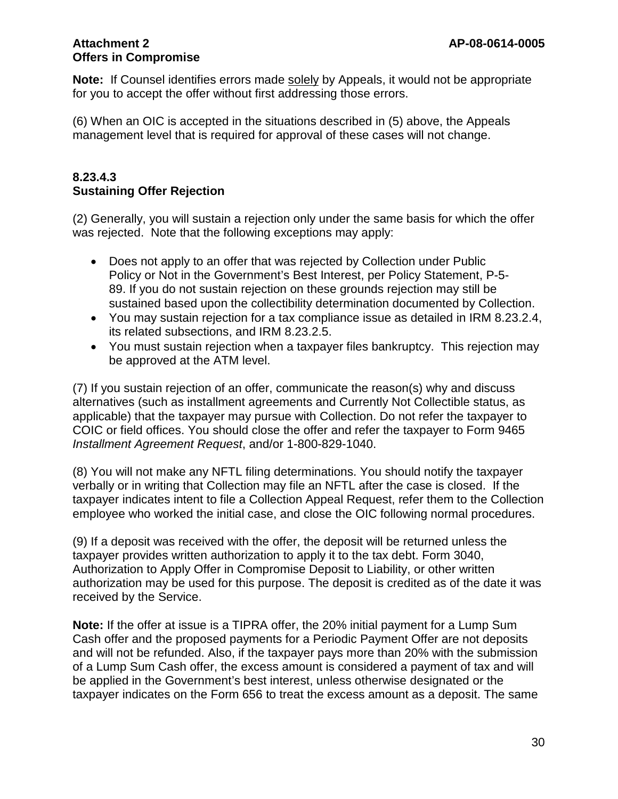**Note:** If Counsel identifies errors made solely by Appeals, it would not be appropriate for you to accept the offer without first addressing those errors.

(6) When an OIC is accepted in the situations described in (5) above, the Appeals management level that is required for approval of these cases will not change.

#### **8.23.4.3 Sustaining Offer Rejection**

(2) Generally, you will sustain a rejection only under the same basis for which the offer was rejected. Note that the following exceptions may apply:

- Does not apply to an offer that was rejected by Collection under Public Policy or Not in the Government's Best Interest, per Policy Statement, P-5- 89. If you do not sustain rejection on these grounds rejection may still be sustained based upon the collectibility determination documented by Collection.
- You may sustain rejection for a tax compliance issue as detailed in IRM 8.23.2.4, its related subsections, and IRM 8.23.2.5.
- You must sustain rejection when a taxpayer files bankruptcy. This rejection may be approved at the ATM level.

(7) If you sustain rejection of an offer, communicate the reason(s) why and discuss alternatives (such as installment agreements and Currently Not Collectible status, as applicable) that the taxpayer may pursue with Collection. Do not refer the taxpayer to COIC or field offices. You should close the offer and refer the taxpayer to Form 9465 *Installment Agreement Request*, and/or 1-800-829-1040.

(8) You will not make any NFTL filing determinations. You should notify the taxpayer verbally or in writing that Collection may file an NFTL after the case is closed. If the taxpayer indicates intent to file a Collection Appeal Request, refer them to the Collection employee who worked the initial case, and close the OIC following normal procedures.

(9) If a deposit was received with the offer, the deposit will be returned unless the taxpayer provides written authorization to apply it to the tax debt. Form 3040, Authorization to Apply Offer in Compromise Deposit to Liability, or other written authorization may be used for this purpose. The deposit is credited as of the date it was received by the Service.

**Note:** If the offer at issue is a TIPRA offer, the 20% initial payment for a Lump Sum Cash offer and the proposed payments for a Periodic Payment Offer are not deposits and will not be refunded. Also, if the taxpayer pays more than 20% with the submission of a Lump Sum Cash offer, the excess amount is considered a payment of tax and will be applied in the Government's best interest, unless otherwise designated or the taxpayer indicates on the Form 656 to treat the excess amount as a deposit. The same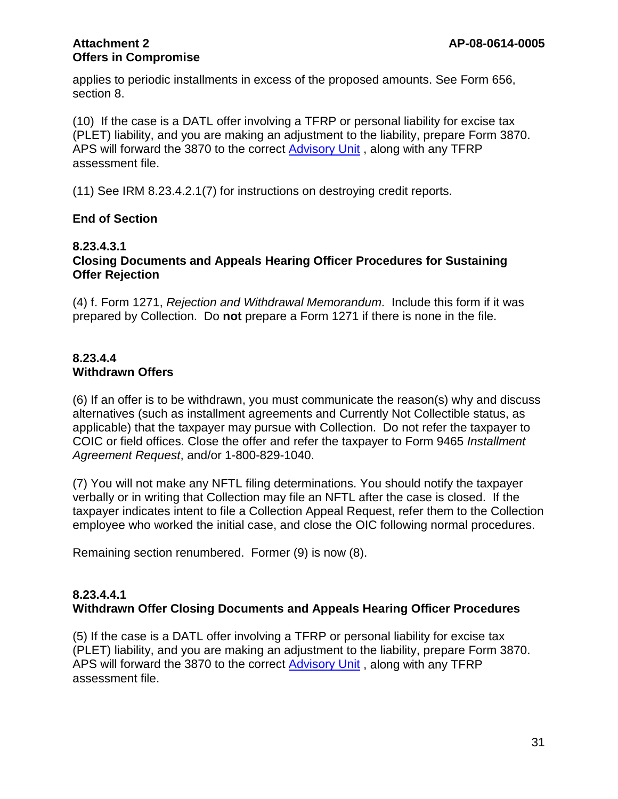applies to periodic installments in excess of the proposed amounts. See Form 656, section 8.

(10) If the case is a DATL offer involving a TFRP or personal liability for excise tax (PLET) liability, and you are making an adjustment to the liability, prepare Form 3870. APS will forward the 3870 to the correct [Advisory Unit](http://mysbse.web.irs.gov/AboutSBSE/Collection/fieldcoll/aiq/aiqorg/contacts/19258.aspx) , along with any TFRP assessment file.

(11) See IRM 8.23.4.2.1(7) for instructions on destroying credit reports.

#### **End of Section**

#### **8.23.4.3.1 Closing Documents and Appeals Hearing Officer Procedures for Sustaining Offer Rejection**

(4) f. Form 1271, *Rejection and Withdrawal Memorandum*. Include this form if it was prepared by Collection. Do **not** prepare a Form 1271 if there is none in the file.

## **8.23.4.4 Withdrawn Offers**

(6) If an offer is to be withdrawn, you must communicate the reason(s) why and discuss alternatives (such as installment agreements and Currently Not Collectible status, as applicable) that the taxpayer may pursue with Collection. Do not refer the taxpayer to COIC or field offices. Close the offer and refer the taxpayer to Form 9465 *Installment Agreement Request*, and/or 1-800-829-1040.

(7) You will not make any NFTL filing determinations. You should notify the taxpayer verbally or in writing that Collection may file an NFTL after the case is closed. If the taxpayer indicates intent to file a Collection Appeal Request, refer them to the Collection employee who worked the initial case, and close the OIC following normal procedures.

Remaining section renumbered. Former (9) is now (8).

#### **8.23.4.4.1 Withdrawn Offer Closing Documents and Appeals Hearing Officer Procedures**

(5) If the case is a DATL offer involving a TFRP or personal liability for excise tax (PLET) liability, and you are making an adjustment to the liability, prepare Form 3870. APS will forward the 3870 to the correct [Advisory Unit](http://mysbse.web.irs.gov/AboutSBSE/Collection/fieldcoll/aiq/aiqorg/contacts/19258.aspx) , along with any TFRP assessment file.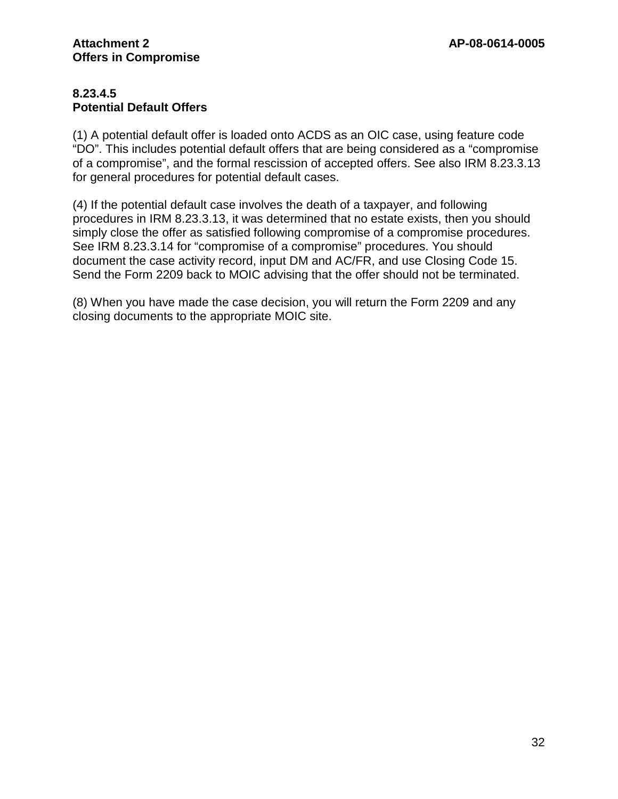## **8.23.4.5 Potential Default Offers**

(1) A potential default offer is loaded onto ACDS as an OIC case, using feature code "DO". This includes potential default offers that are being considered as a "compromise of a compromise", and the formal rescission of accepted offers. See also IRM 8.23.3.13 for general procedures for potential default cases.

(4) If the potential default case involves the death of a taxpayer, and following procedures in IRM 8.23.3.13, it was determined that no estate exists, then you should simply close the offer as satisfied following compromise of a compromise procedures. See IRM 8.23.3.14 for "compromise of a compromise" procedures. You should document the case activity record, input DM and AC/FR, and use Closing Code 15. Send the Form 2209 back to MOIC advising that the offer should not be terminated.

(8) When you have made the case decision, you will return the Form 2209 and any closing documents to the appropriate MOIC site.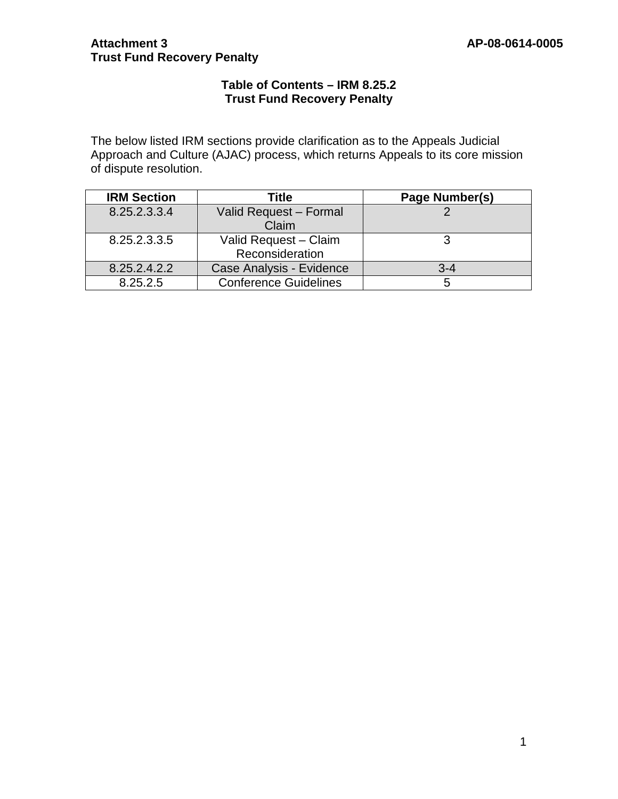## **Attachment 3 AP-08-0614-0005 Trust Fund Recovery Penalty**

## **Table of Contents – IRM 8.25.2 Trust Fund Recovery Penalty**

The below listed IRM sections provide clarification as to the Appeals Judicial Approach and Culture (AJAC) process, which returns Appeals to its core mission of dispute resolution.

| <b>IRM Section</b> | Title                           | Page Number(s) |
|--------------------|---------------------------------|----------------|
| 8.25.2.3.3.4       | Valid Request - Formal<br>Claim |                |
| 8.25.2.3.3.5       | Valid Request - Claim           |                |
|                    |                                 |                |
|                    | Reconsideration                 |                |
| 8.25.2.4.2.2       | Case Analysis - Evidence        | $3 - 4$        |
| 8.25.2.5           | <b>Conference Guidelines</b>    |                |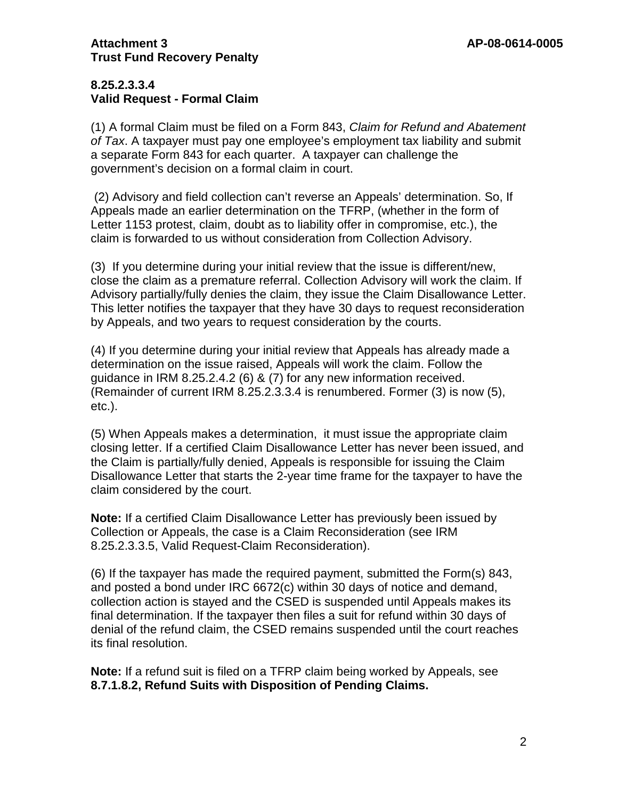## **8.25.2.3.3.4 Valid Request - Formal Claim**

(1) A formal Claim must be filed on a Form 843, *Claim for Refund and Abatement of Tax*. A taxpayer must pay one employee's employment tax liability and submit a separate Form 843 for each quarter. A taxpayer can challenge the government's decision on a formal claim in court.

(2) Advisory and field collection can't reverse an Appeals' determination. So, If Appeals made an earlier determination on the TFRP, (whether in the form of Letter 1153 protest, claim, doubt as to liability offer in compromise, etc.), the claim is forwarded to us without consideration from Collection Advisory.

(3) If you determine during your initial review that the issue is different/new, close the claim as a premature referral. Collection Advisory will work the claim. If Advisory partially/fully denies the claim, they issue the Claim Disallowance Letter. This letter notifies the taxpayer that they have 30 days to request reconsideration by Appeals, and two years to request consideration by the courts.

(4) If you determine during your initial review that Appeals has already made a determination on the issue raised, Appeals will work the claim. Follow the guidance in IRM 8.25.2.4.2 (6) & (7) for any new information received. (Remainder of current IRM 8.25.2.3.3.4 is renumbered. Former (3) is now (5), etc.).

(5) When Appeals makes a determination, it must issue the appropriate claim closing letter. If a certified Claim Disallowance Letter has never been issued, and the Claim is partially/fully denied, Appeals is responsible for issuing the Claim Disallowance Letter that starts the 2-year time frame for the taxpayer to have the claim considered by the court.

**Note:** If a certified Claim Disallowance Letter has previously been issued by Collection or Appeals, the case is a Claim Reconsideration (see IRM 8.25.2.3.3.5, Valid Request-Claim Reconsideration).

(6) If the taxpayer has made the required payment, submitted the Form(s) 843, and posted a bond under IRC 6672(c) within 30 days of notice and demand, collection action is stayed and the CSED is suspended until Appeals makes its final determination. If the taxpayer then files a suit for refund within 30 days of denial of the refund claim, the CSED remains suspended until the court reaches its final resolution.

**Note:** If a refund suit is filed on a TFRP claim being worked by Appeals, see **8.7.1.8.2, Refund Suits with Disposition of Pending Claims.**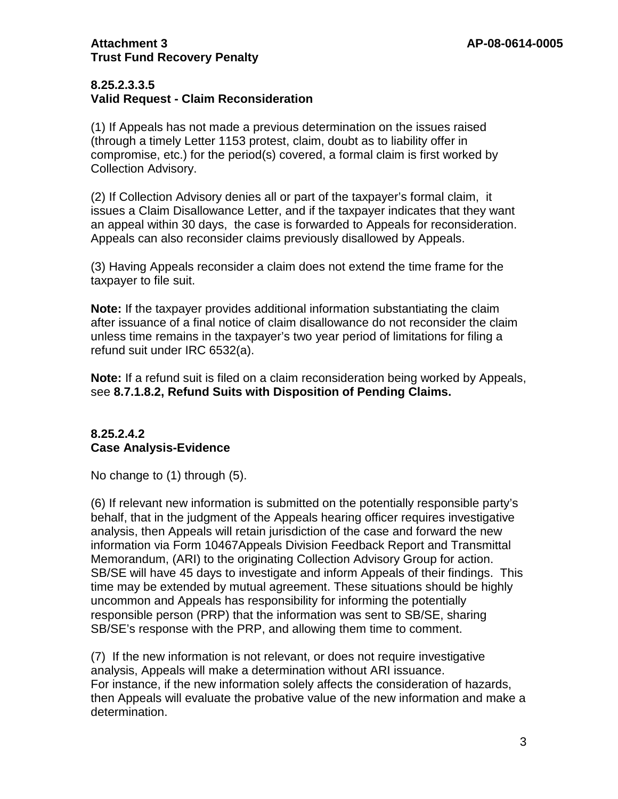## **Attachment 3 AP-08-0614-0005 Trust Fund Recovery Penalty**

#### **8.25.2.3.3.5 Valid Request - Claim Reconsideration**

(1) If Appeals has not made a previous determination on the issues raised (through a timely Letter 1153 protest, claim, doubt as to liability offer in compromise, etc.) for the period(s) covered, a formal claim is first worked by Collection Advisory.

(2) If Collection Advisory denies all or part of the taxpayer's formal claim, it issues a Claim Disallowance Letter, and if the taxpayer indicates that they want an appeal within 30 days, the case is forwarded to Appeals for reconsideration. Appeals can also reconsider claims previously disallowed by Appeals.

(3) Having Appeals reconsider a claim does not extend the time frame for the taxpayer to file suit.

**Note:** If the taxpayer provides additional information substantiating the claim after issuance of a final notice of claim disallowance do not reconsider the claim unless time remains in the taxpayer's two year period of limitations for filing a refund suit under IRC 6532(a).

**Note:** If a refund suit is filed on a claim reconsideration being worked by Appeals, see **8.7.1.8.2, Refund Suits with Disposition of Pending Claims.**

## **8.25.2.4.2 Case Analysis-Evidence**

No change to (1) through (5).

(6) If relevant new information is submitted on the potentially responsible party's behalf, that in the judgment of the Appeals hearing officer requires investigative analysis, then Appeals will retain jurisdiction of the case and forward the new information via Form 10467Appeals Division Feedback Report and Transmittal Memorandum, (ARI) to the originating Collection Advisory Group for action. SB/SE will have 45 days to investigate and inform Appeals of their findings. This time may be extended by mutual agreement. These situations should be highly uncommon and Appeals has responsibility for informing the potentially responsible person (PRP) that the information was sent to SB/SE, sharing SB/SE's response with the PRP, and allowing them time to comment.

(7) If the new information is not relevant, or does not require investigative analysis, Appeals will make a determination without ARI issuance. For instance, if the new information solely affects the consideration of hazards, then Appeals will evaluate the probative value of the new information and make a determination.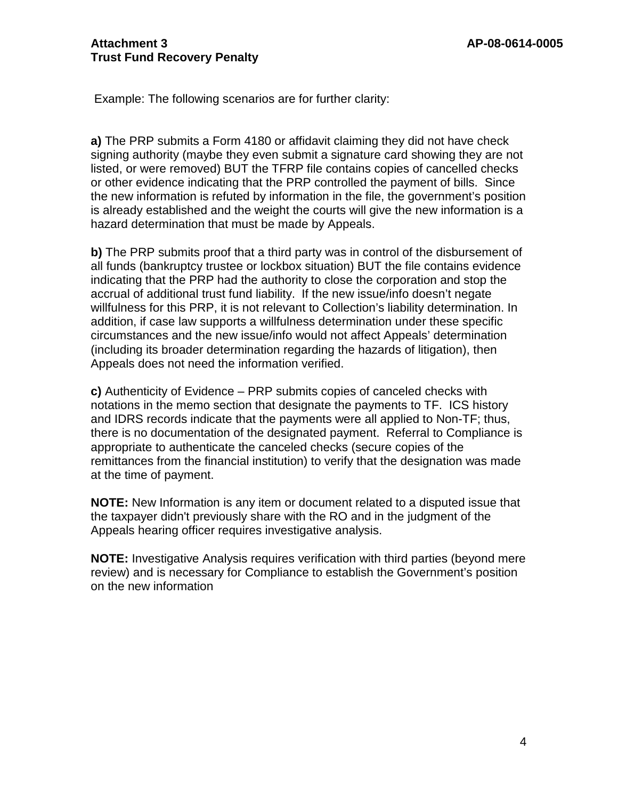Example: The following scenarios are for further clarity:

**a)** The PRP submits a Form 4180 or affidavit claiming they did not have check signing authority (maybe they even submit a signature card showing they are not listed, or were removed) BUT the TFRP file contains copies of cancelled checks or other evidence indicating that the PRP controlled the payment of bills. Since the new information is refuted by information in the file, the government's position is already established and the weight the courts will give the new information is a hazard determination that must be made by Appeals.

**b)** The PRP submits proof that a third party was in control of the disbursement of all funds (bankruptcy trustee or lockbox situation) BUT the file contains evidence indicating that the PRP had the authority to close the corporation and stop the accrual of additional trust fund liability. If the new issue/info doesn't negate willfulness for this PRP, it is not relevant to Collection's liability determination. In addition, if case law supports a willfulness determination under these specific circumstances and the new issue/info would not affect Appeals' determination (including its broader determination regarding the hazards of litigation), then Appeals does not need the information verified.

**c)** Authenticity of Evidence – PRP submits copies of canceled checks with notations in the memo section that designate the payments to TF. ICS history and IDRS records indicate that the payments were all applied to Non-TF; thus, there is no documentation of the designated payment. Referral to Compliance is appropriate to authenticate the canceled checks (secure copies of the remittances from the financial institution) to verify that the designation was made at the time of payment.

**NOTE:** New Information is any item or document related to a disputed issue that the taxpayer didn't previously share with the RO and in the judgment of the Appeals hearing officer requires investigative analysis.

**NOTE:** Investigative Analysis requires verification with third parties (beyond mere review) and is necessary for Compliance to establish the Government's position on the new information